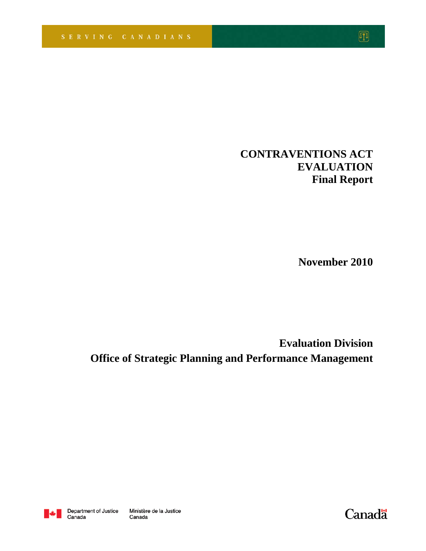# **CONTRAVENTIONS ACT EVALUATION Final Report**

**November 2010**

**Evaluation Division Office of Strategic Planning and Performance Management**



Canada

Canadä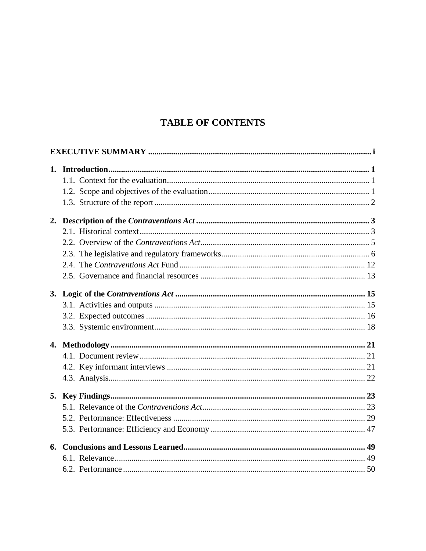# **TABLE OF CONTENTS**

| 6. |  |
|----|--|
|    |  |
|    |  |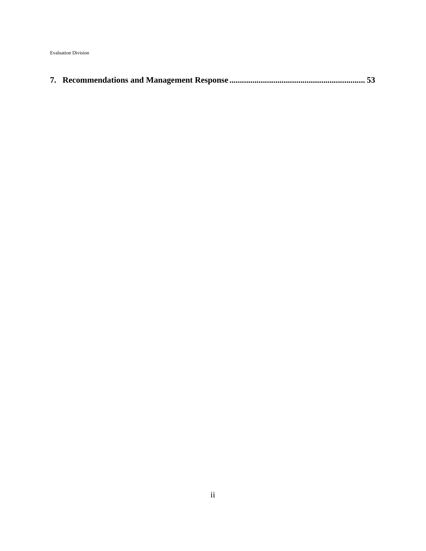Evaluation Division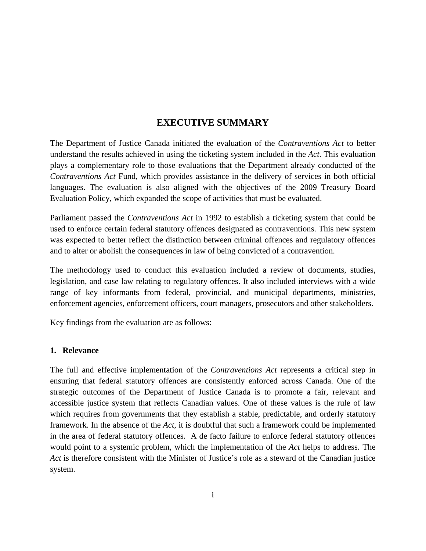# **EXECUTIVE SUMMARY**

The Department of Justice Canada initiated the evaluation of the *Contraventions Act* to better understand the results achieved in using the ticketing system included in the *Act*. This evaluation plays a complementary role to those evaluations that the Department already conducted of the *Contraventions Act* Fund, which provides assistance in the delivery of services in both official languages. The evaluation is also aligned with the objectives of the 2009 Treasury Board Evaluation Policy, which expanded the scope of activities that must be evaluated.

Parliament passed the *Contraventions Act* in 1992 to establish a ticketing system that could be used to enforce certain federal statutory offences designated as contraventions. This new system was expected to better reflect the distinction between criminal offences and regulatory offences and to alter or abolish the consequences in law of being convicted of a contravention.

The methodology used to conduct this evaluation included a review of documents, studies, legislation, and case law relating to regulatory offences. It also included interviews with a wide range of key informants from federal, provincial, and municipal departments, ministries, enforcement agencies, enforcement officers, court managers, prosecutors and other stakeholders.

Key findings from the evaluation are as follows:

#### **1. Relevance**

The full and effective implementation of the *Contraventions Act* represents a critical step in ensuring that federal statutory offences are consistently enforced across Canada. One of the strategic outcomes of the Department of Justice Canada is to promote a fair, relevant and accessible justice system that reflects Canadian values. One of these values is the rule of law which requires from governments that they establish a stable, predictable, and orderly statutory framework. In the absence of the *Act*, it is doubtful that such a framework could be implemented in the area of federal statutory offences. A de facto failure to enforce federal statutory offences would point to a systemic problem, which the implementation of the *Act* helps to address. The *Act* is therefore consistent with the Minister of Justice's role as a steward of the Canadian justice system.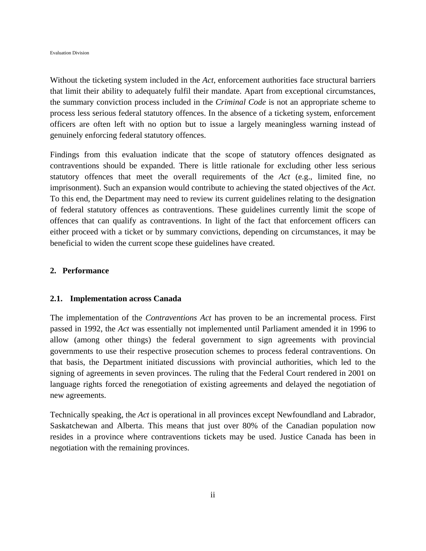Without the ticketing system included in the *Act*, enforcement authorities face structural barriers that limit their ability to adequately fulfil their mandate. Apart from exceptional circumstances, the summary conviction process included in the *Criminal Code* is not an appropriate scheme to process less serious federal statutory offences. In the absence of a ticketing system, enforcement officers are often left with no option but to issue a largely meaningless warning instead of genuinely enforcing federal statutory offences.

Findings from this evaluation indicate that the scope of statutory offences designated as contraventions should be expanded. There is little rationale for excluding other less serious statutory offences that meet the overall requirements of the *Act* (e.g., limited fine, no imprisonment). Such an expansion would contribute to achieving the stated objectives of the *Act*. To this end, the Department may need to review its current guidelines relating to the designation of federal statutory offences as contraventions. These guidelines currently limit the scope of offences that can qualify as contraventions. In light of the fact that enforcement officers can either proceed with a ticket or by summary convictions, depending on circumstances, it may be beneficial to widen the current scope these guidelines have created.

## **2. Performance**

#### **2.1. Implementation across Canada**

The implementation of the *Contraventions Act* has proven to be an incremental process. First passed in 1992, the *Act* was essentially not implemented until Parliament amended it in 1996 to allow (among other things) the federal government to sign agreements with provincial governments to use their respective prosecution schemes to process federal contraventions. On that basis, the Department initiated discussions with provincial authorities, which led to the signing of agreements in seven provinces. The ruling that the Federal Court rendered in 2001 on language rights forced the renegotiation of existing agreements and delayed the negotiation of new agreements.

Technically speaking, the *Act* is operational in all provinces except Newfoundland and Labrador, Saskatchewan and Alberta. This means that just over 80% of the Canadian population now resides in a province where contraventions tickets may be used. Justice Canada has been in negotiation with the remaining provinces.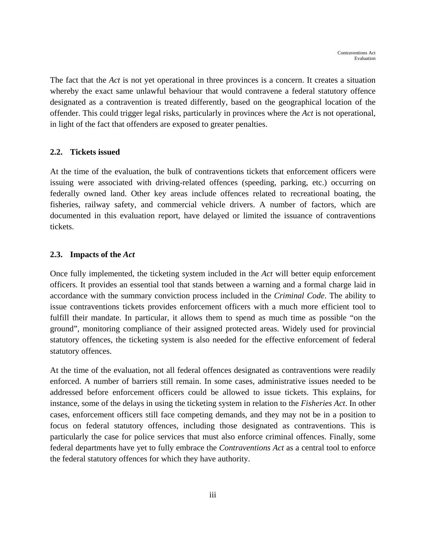The fact that the *Act* is not yet operational in three provinces is a concern. It creates a situation whereby the exact same unlawful behaviour that would contravene a federal statutory offence designated as a contravention is treated differently, based on the geographical location of the offender. This could trigger legal risks, particularly in provinces where the *Act* is not operational, in light of the fact that offenders are exposed to greater penalties.

#### **2.2. Tickets issued**

At the time of the evaluation, the bulk of contraventions tickets that enforcement officers were issuing were associated with driving-related offences (speeding, parking, etc.) occurring on federally owned land. Other key areas include offences related to recreational boating, the fisheries, railway safety, and commercial vehicle drivers. A number of factors, which are documented in this evaluation report, have delayed or limited the issuance of contraventions tickets.

## **2.3. Impacts of the** *Act*

Once fully implemented, the ticketing system included in the *Act* will better equip enforcement officers. It provides an essential tool that stands between a warning and a formal charge laid in accordance with the summary conviction process included in the *Criminal Code*. The ability to issue contraventions tickets provides enforcement officers with a much more efficient tool to fulfill their mandate. In particular, it allows them to spend as much time as possible "on the ground", monitoring compliance of their assigned protected areas. Widely used for provincial statutory offences, the ticketing system is also needed for the effective enforcement of federal statutory offences.

At the time of the evaluation, not all federal offences designated as contraventions were readily enforced. A number of barriers still remain. In some cases, administrative issues needed to be addressed before enforcement officers could be allowed to issue tickets. This explains, for instance, some of the delays in using the ticketing system in relation to the *Fisheries Act*. In other cases, enforcement officers still face competing demands, and they may not be in a position to focus on federal statutory offences, including those designated as contraventions. This is particularly the case for police services that must also enforce criminal offences. Finally, some federal departments have yet to fully embrace the *Contraventions Act* as a central tool to enforce the federal statutory offences for which they have authority.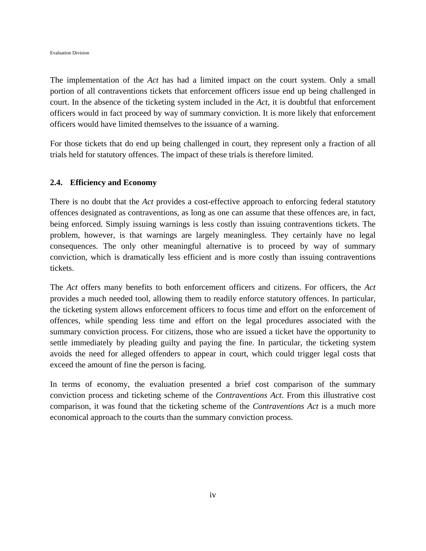Evaluation Division

The implementation of the *Act* has had a limited impact on the court system. Only a small portion of all contraventions tickets that enforcement officers issue end up being challenged in court. In the absence of the ticketing system included in the *Act*, it is doubtful that enforcement officers would in fact proceed by way of summary conviction. It is more likely that enforcement officers would have limited themselves to the issuance of a warning.

For those tickets that do end up being challenged in court, they represent only a fraction of all trials held for statutory offences. The impact of these trials is therefore limited.

# **2.4. Efficiency and Economy**

There is no doubt that the *Act* provides a cost-effective approach to enforcing federal statutory offences designated as contraventions, as long as one can assume that these offences are, in fact, being enforced. Simply issuing warnings is less costly than issuing contraventions tickets. The problem, however, is that warnings are largely meaningless. They certainly have no legal consequences. The only other meaningful alternative is to proceed by way of summary conviction, which is dramatically less efficient and is more costly than issuing contraventions tickets.

The *Act* offers many benefits to both enforcement officers and citizens. For officers, the *Act* provides a much needed tool, allowing them to readily enforce statutory offences. In particular, the ticketing system allows enforcement officers to focus time and effort on the enforcement of offences, while spending less time and effort on the legal procedures associated with the summary conviction process. For citizens, those who are issued a ticket have the opportunity to settle immediately by pleading guilty and paying the fine. In particular, the ticketing system avoids the need for alleged offenders to appear in court, which could trigger legal costs that exceed the amount of fine the person is facing.

In terms of economy, the evaluation presented a brief cost comparison of the summary conviction process and ticketing scheme of the *Contraventions Act*. From this illustrative cost comparison, it was found that the ticketing scheme of the *Contraventions Act* is a much more economical approach to the courts than the summary conviction process.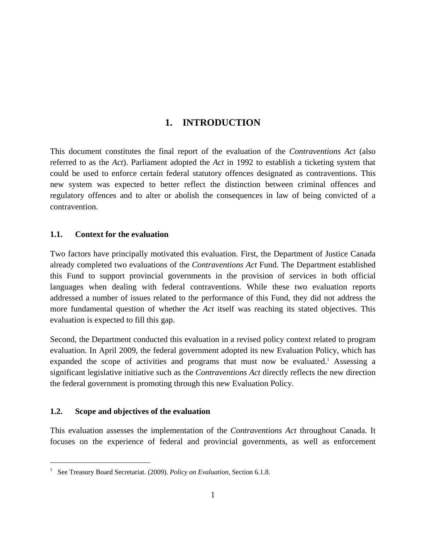# **1. INTRODUCTION**

This document constitutes the final report of the evaluation of the *Contraventions Act* (also referred to as the *Act*). Parliament adopted the *Act* in 1992 to establish a ticketing system that could be used to enforce certain federal statutory offences designated as contraventions. This new system was expected to better reflect the distinction between criminal offences and regulatory offences and to alter or abolish the consequences in law of being convicted of a contravention.

# **1.1. Context for the evaluation**

Two factors have principally motivated this evaluation. First, the Department of Justice Canada already completed two evaluations of the *Contraventions Act* Fund. The Department established this Fund to support provincial governments in the provision of services in both official languages when dealing with federal contraventions. While these two evaluation reports addressed a number of issues related to the performance of this Fund, they did not address the more fundamental question of whether the *Act* itself was reaching its stated objectives. This evaluation is expected to fill this gap.

Second, the Department conducted this evaluation in a revised policy context related to program evaluation. In April 2009, the federal government adopted its new Evaluation Policy, which has expanded the scope of activities and programs that must now be evaluated.<sup>1</sup> Assessing a significant legislative initiative such as the *Contraventions Act* directly reflects the new direction the federal government is promoting through this new Evaluation Policy.

# **1.2. Scope and objectives of the evaluation**

1

This evaluation assesses the implementation of the *Contraventions Act* throughout Canada. It focuses on the experience of federal and provincial governments, as well as enforcement

<sup>1</sup> See Treasury Board Secretariat. (2009). *Policy on Evaluation*, Section 6.1.8.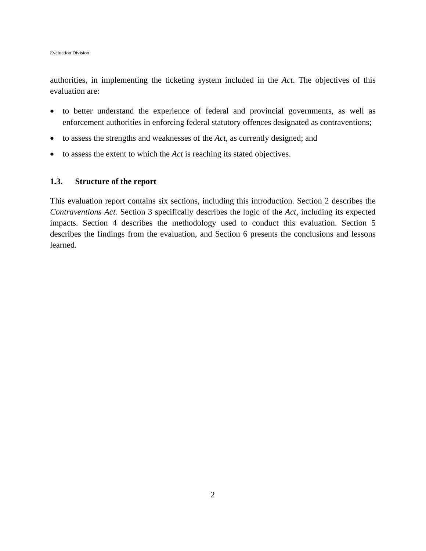Evaluation Division

authorities, in implementing the ticketing system included in the *Act*. The objectives of this evaluation are:

- to better understand the experience of federal and provincial governments, as well as enforcement authorities in enforcing federal statutory offences designated as contraventions;
- to assess the strengths and weaknesses of the *Act*, as currently designed; and
- to assess the extent to which the *Act* is reaching its stated objectives.

## **1.3. Structure of the report**

This evaluation report contains six sections, including this introduction. Section 2 describes the *Contraventions Act.* Section 3 specifically describes the logic of the *Act*, including its expected impacts. Section 4 describes the methodology used to conduct this evaluation. Section 5 describes the findings from the evaluation, and Section 6 presents the conclusions and lessons learned.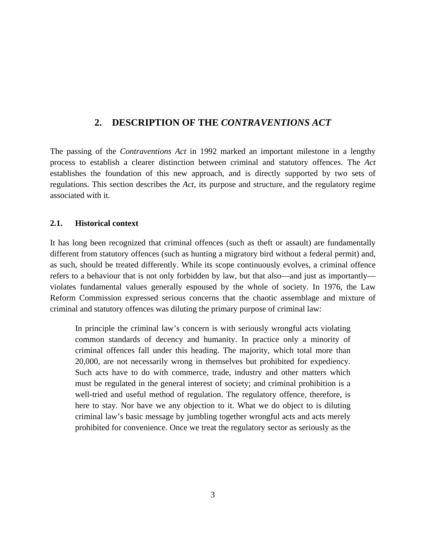# **2. DESCRIPTION OF THE** *CONTRAVENTIONS ACT*

The passing of the *Contraventions Act* in 1992 marked an important milestone in a lengthy process to establish a clearer distinction between criminal and statutory offences. The *Act* establishes the foundation of this new approach, and is directly supported by two sets of regulations. This section describes the *Act*, its purpose and structure, and the regulatory regime associated with it.

## **2.1. Historical context**

It has long been recognized that criminal offences (such as theft or assault) are fundamentally different from statutory offences (such as hunting a migratory bird without a federal permit) and, as such, should be treated differently. While its scope continuously evolves, a criminal offence refers to a behaviour that is not only forbidden by law, but that also—and just as importantly violates fundamental values generally espoused by the whole of society. In 1976, the Law Reform Commission expressed serious concerns that the chaotic assemblage and mixture of criminal and statutory offences was diluting the primary purpose of criminal law:

In principle the criminal law's concern is with seriously wrongful acts violating common standards of decency and humanity. In practice only a minority of criminal offences fall under this heading. The majority, which total more than 20,000, are not necessarily wrong in themselves but prohibited for expediency. Such acts have to do with commerce, trade, industry and other matters which must be regulated in the general interest of society; and criminal prohibition is a well-tried and useful method of regulation. The regulatory offence, therefore, is here to stay. Nor have we any objection to it. What we do object to is diluting criminal law's basic message by jumbling together wrongful acts and acts merely prohibited for convenience. Once we treat the regulatory sector as seriously as the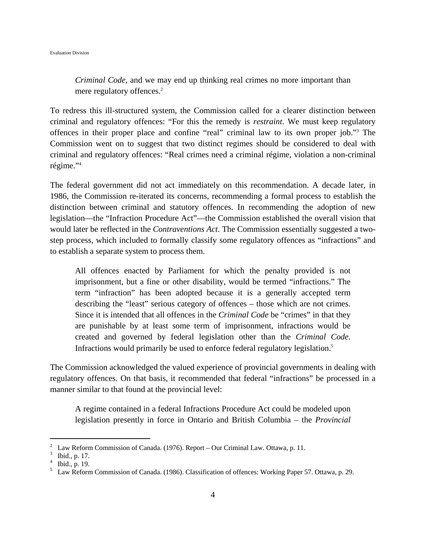*Criminal Code*, and we may end up thinking real crimes no more important than mere regulatory offences.<sup>2</sup>

To redress this ill-structured system, the Commission called for a clearer distinction between criminal and regulatory offences: "For this the remedy is *restraint*. We must keep regulatory offences in their proper place and confine "real" criminal law to its own proper job."3 The Commission went on to suggest that two distinct regimes should be considered to deal with criminal and regulatory offences: "Real crimes need a criminal régime, violation a non-criminal régime."4

The federal government did not act immediately on this recommendation. A decade later, in 1986, the Commission re-iterated its concerns, recommending a formal process to establish the distinction between criminal and statutory offences. In recommending the adoption of new legislation—the "Infraction Procedure Act"—the Commission established the overall vision that would later be reflected in the *Contraventions Act*. The Commission essentially suggested a twostep process, which included to formally classify some regulatory offences as "infractions" and to establish a separate system to process them.

All offences enacted by Parliament for which the penalty provided is not imprisonment, but a fine or other disability, would be termed "infractions." The term "infraction" has been adopted because it is a generally accepted term describing the "least" serious category of offences – those which are not crimes. Since it is intended that all offences in the *Criminal Code* be "crimes" in that they are punishable by at least some term of imprisonment, infractions would be created and governed by federal legislation other than the *Criminal Code*. Infractions would primarily be used to enforce federal regulatory legislation.<sup>5</sup>

The Commission acknowledged the valued experience of provincial governments in dealing with regulatory offences. On that basis, it recommended that federal "infractions" be processed in a manner similar to that found at the provincial level:

A regime contained in a federal Infractions Procedure Act could be modeled upon legislation presently in force in Ontario and British Columbia – the *Provincial* 

1

<sup>&</sup>lt;sup>2</sup> Law Reform Commission of Canada. (1976). Report – Our Criminal Law. Ottawa, p. 11.

 $^{3}$  Ibid., p. 17.

Ibid., p. 19.

<sup>5</sup> Law Reform Commission of Canada. (1986). Classification of offences: Working Paper 57. Ottawa, p. 29.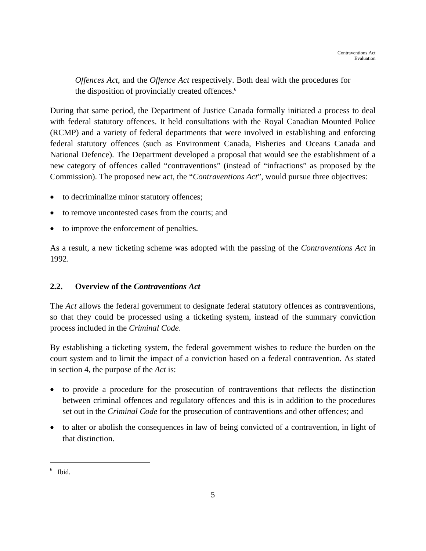*Offences Act*, and the *Offence Act* respectively. Both deal with the procedures for the disposition of provincially created offences.<sup>6</sup>

During that same period, the Department of Justice Canada formally initiated a process to deal with federal statutory offences. It held consultations with the Royal Canadian Mounted Police (RCMP) and a variety of federal departments that were involved in establishing and enforcing federal statutory offences (such as Environment Canada, Fisheries and Oceans Canada and National Defence). The Department developed a proposal that would see the establishment of a new category of offences called "contraventions" (instead of "infractions" as proposed by the Commission). The proposed new act, the "*Contraventions Act*", would pursue three objectives:

- to decriminalize minor statutory offences;
- to remove uncontested cases from the courts; and
- to improve the enforcement of penalties.

As a result, a new ticketing scheme was adopted with the passing of the *Contraventions Act* in 1992.

# **2.2. Overview of the** *Contraventions Act*

The *Act* allows the federal government to designate federal statutory offences as contraventions, so that they could be processed using a ticketing system, instead of the summary conviction process included in the *Criminal Code*.

By establishing a ticketing system, the federal government wishes to reduce the burden on the court system and to limit the impact of a conviction based on a federal contravention. As stated in section 4, the purpose of the *Act* is:

- to provide a procedure for the prosecution of contraventions that reflects the distinction between criminal offences and regulatory offences and this is in addition to the procedures set out in the *Criminal Code* for the prosecution of contraventions and other offences; and
- to alter or abolish the consequences in law of being convicted of a contravention, in light of that distinction.

 $\overline{a}$ 

<sup>6</sup> Ibid.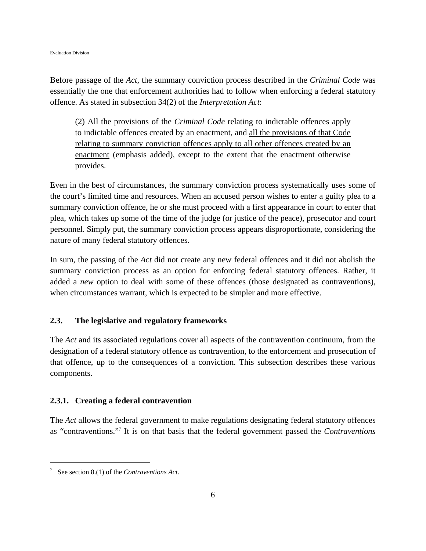Before passage of the *Act*, the summary conviction process described in the *Criminal Code* was essentially the one that enforcement authorities had to follow when enforcing a federal statutory offence. As stated in subsection 34(2) of the *Interpretation Act*:

(2) All the provisions of the *Criminal Code* relating to indictable offences apply to indictable offences created by an enactment, and all the provisions of that Code relating to summary conviction offences apply to all other offences created by an enactment (emphasis added), except to the extent that the enactment otherwise provides.

Even in the best of circumstances, the summary conviction process systematically uses some of the court's limited time and resources. When an accused person wishes to enter a guilty plea to a summary conviction offence, he or she must proceed with a first appearance in court to enter that plea, which takes up some of the time of the judge (or justice of the peace), prosecutor and court personnel. Simply put, the summary conviction process appears disproportionate, considering the nature of many federal statutory offences.

In sum, the passing of the *Act* did not create any new federal offences and it did not abolish the summary conviction process as an option for enforcing federal statutory offences. Rather, it added a *new* option to deal with some of these offences (those designated as contraventions), when circumstances warrant, which is expected to be simpler and more effective.

## **2.3. The legislative and regulatory frameworks**

The *Act* and its associated regulations cover all aspects of the contravention continuum, from the designation of a federal statutory offence as contravention, to the enforcement and prosecution of that offence, up to the consequences of a conviction. This subsection describes these various components.

## **2.3.1. Creating a federal contravention**

The *Act* allows the federal government to make regulations designating federal statutory offences as "contraventions."7 It is on that basis that the federal government passed the *Contraventions* 

1

<sup>7</sup> See section 8.(1) of the *Contraventions Act*.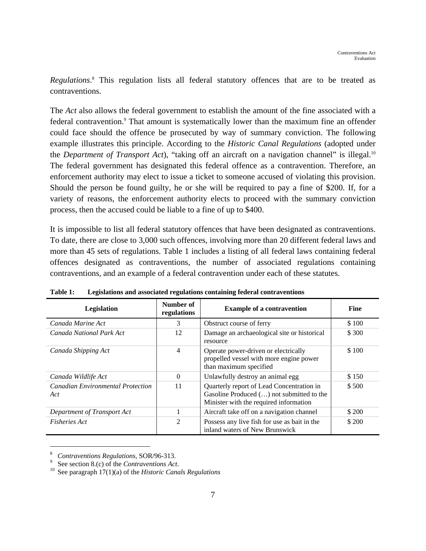Regulations.<sup>8</sup> This regulation lists all federal statutory offences that are to be treated as contraventions.

The *Act* also allows the federal government to establish the amount of the fine associated with a federal contravention.<sup>9</sup> That amount is systematically lower than the maximum fine an offender could face should the offence be prosecuted by way of summary conviction. The following example illustrates this principle. According to the *Historic Canal Regulations* (adopted under the *Department of Transport Act*), "taking off an aircraft on a navigation channel" is illegal.<sup>10</sup> The federal government has designated this federal offence as a contravention. Therefore, an enforcement authority may elect to issue a ticket to someone accused of violating this provision. Should the person be found guilty, he or she will be required to pay a fine of \$200. If, for a variety of reasons, the enforcement authority elects to proceed with the summary conviction process, then the accused could be liable to a fine of up to \$400.

It is impossible to list all federal statutory offences that have been designated as contraventions. To date, there are close to 3,000 such offences, involving more than 20 different federal laws and more than 45 sets of regulations. Table 1 includes a listing of all federal laws containing federal offences designated as contraventions, the number of associated regulations containing contraventions, and an example of a federal contravention under each of these statutes.

| Legislation                                     | Number of<br>regulations | <b>Example of a contravention</b>                                                                                                | <b>Fine</b> |
|-------------------------------------------------|--------------------------|----------------------------------------------------------------------------------------------------------------------------------|-------------|
| Canada Marine Act                               | 3                        | Obstruct course of ferry                                                                                                         | \$100       |
| Canada National Park Act                        | 12                       | Damage an archaeological site or historical<br>resource                                                                          | \$ 300      |
| 4<br>Canada Shipping Act                        |                          | Operate power-driven or electrically<br>propelled vessel with more engine power<br>than maximum specified                        | \$100       |
| Canada Wildlife Act                             | 0                        | Unlawfully destroy an animal egg                                                                                                 | \$150       |
| <b>Canadian Environmental Protection</b><br>Act | 11                       | Quarterly report of Lead Concentration in<br>Gasoline Produced () not submitted to the<br>Minister with the required information | \$500       |
| Department of Transport Act                     |                          | Aircraft take off on a navigation channel                                                                                        | \$ 200      |
| <b>Fisheries Act</b>                            | $\mathfrak{D}$           | Possess any live fish for use as bait in the<br>inland waters of New Brunswick                                                   | \$ 200      |

**Table 1: Legislations and associated regulations containing federal contraventions** 

 $\overline{a}$ 

Contraventions Regulations, SOR/96-313.<br>See section 8.(c) of the *Contraventions Act*.

See paragraph 17(1)(a) of the *Historic Canals Regulations*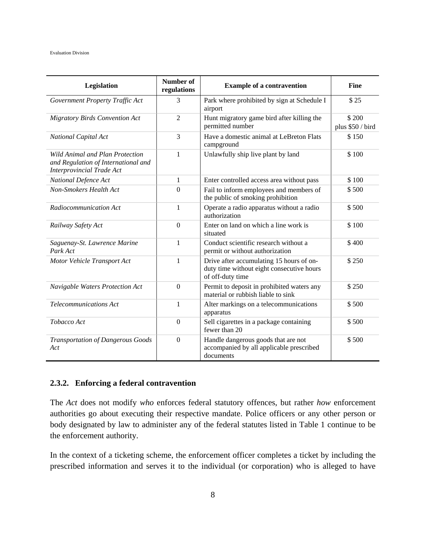| Legislation                                                                                                       | Number of<br>regulations                                                                     | <b>Example of a contravention</b>                                                                         | <b>Fine</b>               |
|-------------------------------------------------------------------------------------------------------------------|----------------------------------------------------------------------------------------------|-----------------------------------------------------------------------------------------------------------|---------------------------|
| Government Property Traffic Act                                                                                   | 3                                                                                            | Park where prohibited by sign at Schedule I<br>airport                                                    | \$25                      |
| <b>Migratory Birds Convention Act</b>                                                                             | $\overline{2}$                                                                               | Hunt migratory game bird after killing the<br>permitted number                                            | \$200<br>plus \$50 / bird |
| National Capital Act                                                                                              | 3                                                                                            | Have a domestic animal at LeBreton Flats<br>campground                                                    | \$150                     |
| <b>Wild Animal and Plan Protection</b><br>and Regulation of International and<br><b>Interprovincial Trade Act</b> | 1                                                                                            | Unlawfully ship live plant by land                                                                        | \$100                     |
| National Defence Act                                                                                              | $\mathbf{1}$                                                                                 | Enter controlled access area without pass                                                                 | \$100                     |
| Non-Smokers Health Act                                                                                            | $\mathbf{0}$<br>Fail to inform employees and members of<br>the public of smoking prohibition |                                                                                                           | \$500                     |
| Radiocommunication Act                                                                                            | $\mathbf{1}$                                                                                 | Operate a radio apparatus without a radio<br>authorization                                                | \$500                     |
| Railway Safety Act                                                                                                | $\Omega$                                                                                     | Enter on land on which a line work is<br>situated                                                         | \$100                     |
| Saguenay-St. Lawrence Marine<br>Park Act                                                                          | 1                                                                                            | Conduct scientific research without a<br>permit or without authorization                                  | \$400                     |
| Motor Vehicle Transport Act                                                                                       | $\mathbf{1}$                                                                                 | Drive after accumulating 15 hours of on-<br>duty time without eight consecutive hours<br>of off-duty time | \$250                     |
| Navigable Waters Protection Act                                                                                   | $\boldsymbol{0}$                                                                             | Permit to deposit in prohibited waters any<br>material or rubbish liable to sink                          | \$250                     |
| Telecommunications Act                                                                                            | 1                                                                                            | Alter markings on a telecommunications<br>apparatus                                                       | \$500                     |
| Tobacco Act                                                                                                       | $\overline{0}$                                                                               | Sell cigarettes in a package containing<br>fewer than 20                                                  | \$500                     |
| <b>Transportation of Dangerous Goods</b><br>Act                                                                   | $\overline{0}$                                                                               | Handle dangerous goods that are not<br>accompanied by all applicable prescribed<br>documents              | \$500                     |

# **2.3.2. Enforcing a federal contravention**

The *Act* does not modify *who* enforces federal statutory offences, but rather *how* enforcement authorities go about executing their respective mandate. Police officers or any other person or body designated by law to administer any of the federal statutes listed in Table 1 continue to be the enforcement authority.

In the context of a ticketing scheme, the enforcement officer completes a ticket by including the prescribed information and serves it to the individual (or corporation) who is alleged to have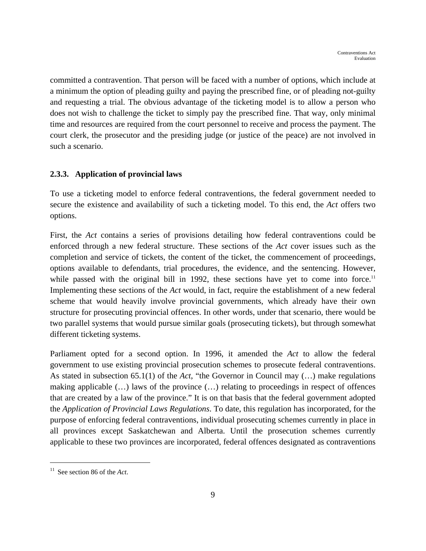committed a contravention. That person will be faced with a number of options, which include at a minimum the option of pleading guilty and paying the prescribed fine, or of pleading not-guilty and requesting a trial. The obvious advantage of the ticketing model is to allow a person who does not wish to challenge the ticket to simply pay the prescribed fine. That way, only minimal time and resources are required from the court personnel to receive and process the payment. The court clerk, the prosecutor and the presiding judge (or justice of the peace) are not involved in such a scenario.

# **2.3.3. Application of provincial laws**

To use a ticketing model to enforce federal contraventions, the federal government needed to secure the existence and availability of such a ticketing model. To this end, the *Act* offers two options.

First, the *Act* contains a series of provisions detailing how federal contraventions could be enforced through a new federal structure. These sections of the *Act* cover issues such as the completion and service of tickets, the content of the ticket, the commencement of proceedings, options available to defendants, trial procedures, the evidence, and the sentencing. However, while passed with the original bill in 1992, these sections have yet to come into force.<sup>11</sup> Implementing these sections of the *Act* would, in fact, require the establishment of a new federal scheme that would heavily involve provincial governments, which already have their own structure for prosecuting provincial offences. In other words, under that scenario, there would be two parallel systems that would pursue similar goals (prosecuting tickets), but through somewhat different ticketing systems.

Parliament opted for a second option. In 1996, it amended the *Act* to allow the federal government to use existing provincial prosecution schemes to prosecute federal contraventions. As stated in subsection 65.1(1) of the *Act*, "the Governor in Council may (…) make regulations making applicable (…) laws of the province (…) relating to proceedings in respect of offences that are created by a law of the province." It is on that basis that the federal government adopted the *Application of Provincial Laws Regulations*. To date, this regulation has incorporated, for the purpose of enforcing federal contraventions, individual prosecuting schemes currently in place in all provinces except Saskatchewan and Alberta. Until the prosecution schemes currently applicable to these two provinces are incorporated, federal offences designated as contraventions

 $\overline{a}$ 

<sup>11</sup> See section 86 of the *Act*.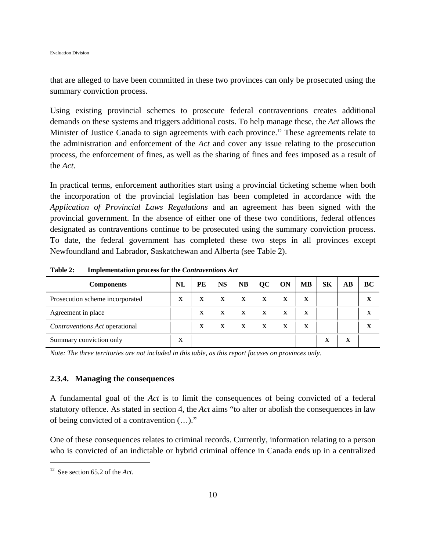that are alleged to have been committed in these two provinces can only be prosecuted using the summary conviction process.

Using existing provincial schemes to prosecute federal contraventions creates additional demands on these systems and triggers additional costs. To help manage these, the *Act* allows the Minister of Justice Canada to sign agreements with each province.<sup>12</sup> These agreements relate to the administration and enforcement of the *Act* and cover any issue relating to the prosecution process, the enforcement of fines, as well as the sharing of fines and fees imposed as a result of the *Act*.

In practical terms, enforcement authorities start using a provincial ticketing scheme when both the incorporation of the provincial legislation has been completed in accordance with the *Application of Provincial Laws Regulations* and an agreement has been signed with the provincial government. In the absence of either one of these two conditions, federal offences designated as contraventions continue to be prosecuted using the summary conviction process. To date, the federal government has completed these two steps in all provinces except Newfoundland and Labrador, Saskatchewan and Alberta (see Table 2).

| <b>Components</b>               | NL | PE | <b>NS</b> | <b>NB</b>   | QC | <b>ON</b>   | <b>MB</b> | <b>SK</b> | AВ | ВC |
|---------------------------------|----|----|-----------|-------------|----|-------------|-----------|-----------|----|----|
| Prosecution scheme incorporated | X  | X  | X         | $\mathbf X$ | X  | X           | x         |           |    | x  |
| Agreement in place              |    | X  | X         | X           | x  | $\mathbf X$ | x         |           |    | X  |
| Contraventions Act operational  |    | X  | X         | X           | X  | x           | X         |           |    |    |
| Summary conviction only         | x  |    |           |             |    |             |           | x         | X  |    |

**Table 2: Implementation process for the** *Contraventions Act*

*Note: The three territories are not included in this table, as this report focuses on provinces only.* 

### **2.3.4. Managing the consequences**

A fundamental goal of the *Act* is to limit the consequences of being convicted of a federal statutory offence. As stated in section 4, the *Act* aims "to alter or abolish the consequences in law of being convicted of a contravention (…)."

One of these consequences relates to criminal records. Currently, information relating to a person who is convicted of an indictable or hybrid criminal offence in Canada ends up in a centralized

1

<sup>12</sup> See section 65.2 of the *Act*.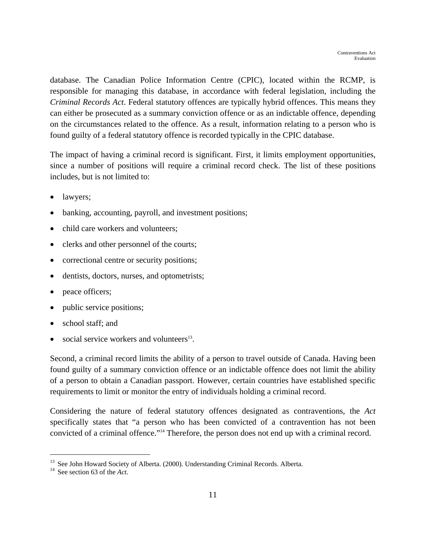database. The Canadian Police Information Centre (CPIC), located within the RCMP, is responsible for managing this database, in accordance with federal legislation, including the *Criminal Records Act*. Federal statutory offences are typically hybrid offences. This means they can either be prosecuted as a summary conviction offence or as an indictable offence, depending on the circumstances related to the offence. As a result, information relating to a person who is found guilty of a federal statutory offence is recorded typically in the CPIC database.

The impact of having a criminal record is significant. First, it limits employment opportunities, since a number of positions will require a criminal record check. The list of these positions includes, but is not limited to:

- lawyers;
- banking, accounting, payroll, and investment positions;
- child care workers and volunteers;
- clerks and other personnel of the courts;
- correctional centre or security positions;
- dentists, doctors, nurses, and optometrists;
- peace officers;
- public service positions;
- school staff: and
- social service workers and volunteers $13$ .

Second, a criminal record limits the ability of a person to travel outside of Canada. Having been found guilty of a summary conviction offence or an indictable offence does not limit the ability of a person to obtain a Canadian passport. However, certain countries have established specific requirements to limit or monitor the entry of individuals holding a criminal record.

Considering the nature of federal statutory offences designated as contraventions, the *Act* specifically states that "a person who has been convicted of a contravention has not been convicted of a criminal offence."14 Therefore, the person does not end up with a criminal record.

<u>.</u>

<sup>&</sup>lt;sup>13</sup> See John Howard Society of Alberta. (2000). Understanding Criminal Records. Alberta. <sup>14</sup> See section 63 of the *Act*.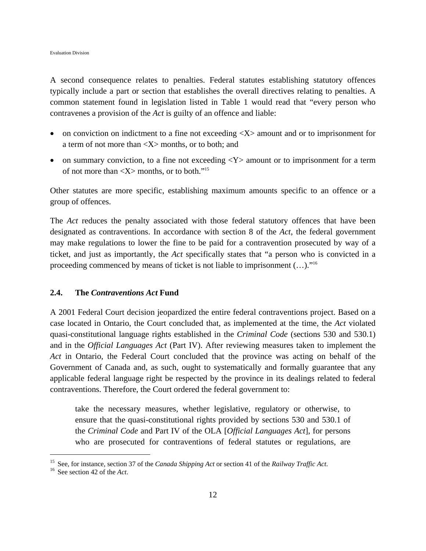A second consequence relates to penalties. Federal statutes establishing statutory offences typically include a part or section that establishes the overall directives relating to penalties. A common statement found in legislation listed in Table 1 would read that "every person who contravenes a provision of the *Act* is guilty of an offence and liable:

- on conviction on indictment to a fine not exceeding  $\langle X \rangle$  amount and or to imprisonment for a term of not more than <X> months, or to both; and
- on summary conviction, to a fine not exceeding  $\langle Y \rangle$  amount or to imprisonment for a term of not more than  $\langle X \rangle$  months, or to both."<sup>15</sup>

Other statutes are more specific, establishing maximum amounts specific to an offence or a group of offences.

The *Act* reduces the penalty associated with those federal statutory offences that have been designated as contraventions. In accordance with section 8 of the *Act*, the federal government may make regulations to lower the fine to be paid for a contravention prosecuted by way of a ticket, and just as importantly, the *Act* specifically states that "a person who is convicted in a proceeding commenced by means of ticket is not liable to imprisonment (…)."16

#### **2.4. The** *Contraventions Act* **Fund**

A 2001 Federal Court decision jeopardized the entire federal contraventions project. Based on a case located in Ontario, the Court concluded that, as implemented at the time, the *Act* violated quasi-constitutional language rights established in the *Criminal Code* (sections 530 and 530.1) and in the *Official Languages Act* (Part IV). After reviewing measures taken to implement the *Act* in Ontario, the Federal Court concluded that the province was acting on behalf of the Government of Canada and, as such, ought to systematically and formally guarantee that any applicable federal language right be respected by the province in its dealings related to federal contraventions. Therefore, the Court ordered the federal government to:

take the necessary measures, whether legislative, regulatory or otherwise, to ensure that the quasi-constitutional rights provided by sections 530 and 530.1 of the *Criminal Code* and Part IV of the OLA [*Official Languages Act*], for persons who are prosecuted for contraventions of federal statutes or regulations, are

<u>.</u>

<sup>&</sup>lt;sup>15</sup> See, for instance, section 37 of the *Canada Shipping Act* or section 41 of the *Railway Traffic Act*. <sup>16</sup> See section 42 of the *Act*.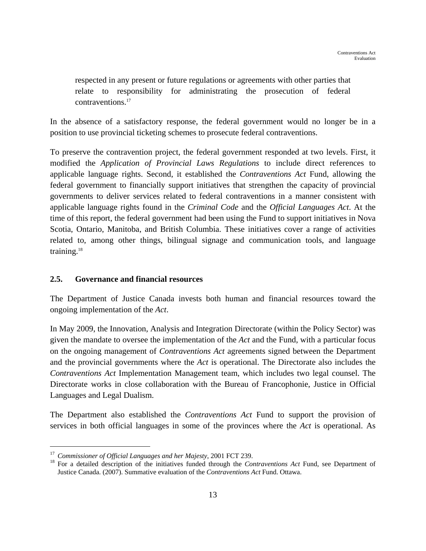respected in any present or future regulations or agreements with other parties that relate to responsibility for administrating the prosecution of federal contraventions.<sup>17</sup>

In the absence of a satisfactory response, the federal government would no longer be in a position to use provincial ticketing schemes to prosecute federal contraventions.

To preserve the contravention project, the federal government responded at two levels. First, it modified the *Application of Provincial Laws Regulations* to include direct references to applicable language rights. Second, it established the *Contraventions Act* Fund, allowing the federal government to financially support initiatives that strengthen the capacity of provincial governments to deliver services related to federal contraventions in a manner consistent with applicable language rights found in the *Criminal Code* and the *Official Languages Act*. At the time of this report, the federal government had been using the Fund to support initiatives in Nova Scotia, Ontario, Manitoba, and British Columbia. These initiatives cover a range of activities related to, among other things, bilingual signage and communication tools, and language training.18

# **2.5. Governance and financial resources**

The Department of Justice Canada invests both human and financial resources toward the ongoing implementation of the *Act*.

In May 2009, the Innovation, Analysis and Integration Directorate (within the Policy Sector) was given the mandate to oversee the implementation of the *Act* and the Fund, with a particular focus on the ongoing management of *Contraventions Act* agreements signed between the Department and the provincial governments where the *Act* is operational. The Directorate also includes the *Contraventions Act* Implementation Management team, which includes two legal counsel. The Directorate works in close collaboration with the Bureau of Francophonie, Justice in Official Languages and Legal Dualism.

The Department also established the *Contraventions Act* Fund to support the provision of services in both official languages in some of the provinces where the *Act* is operational. As

1

<sup>&</sup>lt;sup>17</sup> Commissioner of Official Languages and her Majesty, 2001 FCT 239.<br><sup>18</sup> For a detailed description of the initiatives funded through the *Contraventions Act* Fund, see Department of Justice Canada. (2007). Summative evaluation of the *Contraventions Act* Fund. Ottawa.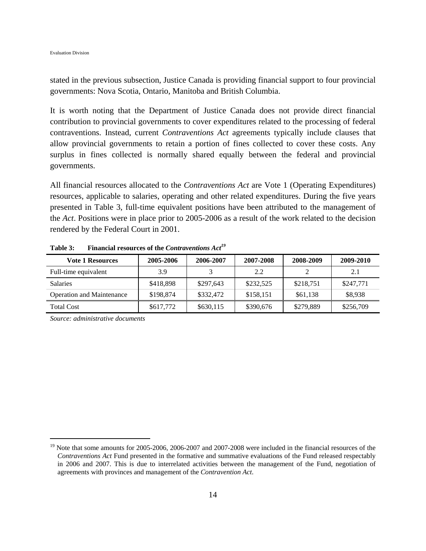stated in the previous subsection, Justice Canada is providing financial support to four provincial governments: Nova Scotia, Ontario, Manitoba and British Columbia.

It is worth noting that the Department of Justice Canada does not provide direct financial contribution to provincial governments to cover expenditures related to the processing of federal contraventions. Instead, current *Contraventions Act* agreements typically include clauses that allow provincial governments to retain a portion of fines collected to cover these costs. Any surplus in fines collected is normally shared equally between the federal and provincial governments.

All financial resources allocated to the *Contraventions Act* are Vote 1 (Operating Expenditures) resources, applicable to salaries, operating and other related expenditures. During the five years presented in Table 3, full-time equivalent positions have been attributed to the management of the *Act*. Positions were in place prior to 2005-2006 as a result of the work related to the decision rendered by the Federal Court in 2001.

| <b>Vote 1 Resources</b>          | 2005-2006 | 2006-2007 | 2007-2008 | 2008-2009 | 2009-2010 |
|----------------------------------|-----------|-----------|-----------|-----------|-----------|
| Full-time equivalent             | 3.9       |           | 2.2       |           | 2.1       |
| <b>Salaries</b>                  | \$418,898 | \$297.643 | \$232,525 | \$218.751 | \$247,771 |
| <b>Operation and Maintenance</b> | \$198,874 | \$332,472 | \$158,151 | \$61,138  | \$8,938   |
| <b>Total Cost</b>                | \$617,772 | \$630,115 | \$390,676 | \$279,889 | \$256,709 |

**Table 3: Financial resources of the** *Contraventions Act19*

*Source: administrative documents* 

 $\overline{a}$ 

<sup>&</sup>lt;sup>19</sup> Note that some amounts for 2005-2006, 2006-2007 and 2007-2008 were included in the financial resources of the *Contraventions Act* Fund presented in the formative and summative evaluations of the Fund released respectably in 2006 and 2007. This is due to interrelated activities between the management of the Fund, negotiation of agreements with provinces and management of the *Contravention Act*.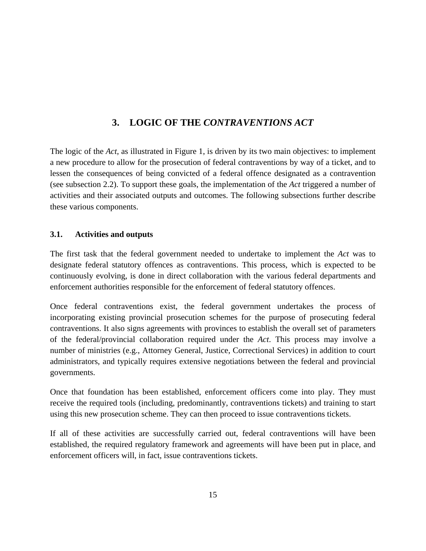# **3. LOGIC OF THE** *CONTRAVENTIONS ACT*

The logic of the *Act*, as illustrated in Figure 1, is driven by its two main objectives: to implement a new procedure to allow for the prosecution of federal contraventions by way of a ticket, and to lessen the consequences of being convicted of a federal offence designated as a contravention (see subsection 2.2). To support these goals, the implementation of the *Act* triggered a number of activities and their associated outputs and outcomes. The following subsections further describe these various components.

# **3.1. Activities and outputs**

The first task that the federal government needed to undertake to implement the *Act* was to designate federal statutory offences as contraventions. This process, which is expected to be continuously evolving, is done in direct collaboration with the various federal departments and enforcement authorities responsible for the enforcement of federal statutory offences.

Once federal contraventions exist, the federal government undertakes the process of incorporating existing provincial prosecution schemes for the purpose of prosecuting federal contraventions. It also signs agreements with provinces to establish the overall set of parameters of the federal/provincial collaboration required under the *Act*. This process may involve a number of ministries (e.g., Attorney General, Justice, Correctional Services) in addition to court administrators, and typically requires extensive negotiations between the federal and provincial governments.

Once that foundation has been established, enforcement officers come into play. They must receive the required tools (including, predominantly, contraventions tickets) and training to start using this new prosecution scheme. They can then proceed to issue contraventions tickets.

If all of these activities are successfully carried out, federal contraventions will have been established, the required regulatory framework and agreements will have been put in place, and enforcement officers will, in fact, issue contraventions tickets.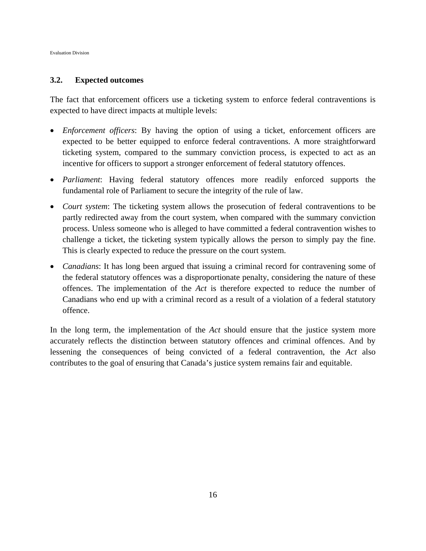Evaluation Division

## **3.2. Expected outcomes**

The fact that enforcement officers use a ticketing system to enforce federal contraventions is expected to have direct impacts at multiple levels:

- *Enforcement officers*: By having the option of using a ticket, enforcement officers are expected to be better equipped to enforce federal contraventions. A more straightforward ticketing system, compared to the summary conviction process, is expected to act as an incentive for officers to support a stronger enforcement of federal statutory offences.
- *Parliament*: Having federal statutory offences more readily enforced supports the fundamental role of Parliament to secure the integrity of the rule of law.
- *Court system*: The ticketing system allows the prosecution of federal contraventions to be partly redirected away from the court system, when compared with the summary conviction process. Unless someone who is alleged to have committed a federal contravention wishes to challenge a ticket, the ticketing system typically allows the person to simply pay the fine. This is clearly expected to reduce the pressure on the court system.
- *Canadians*: It has long been argued that issuing a criminal record for contravening some of the federal statutory offences was a disproportionate penalty, considering the nature of these offences. The implementation of the *Act* is therefore expected to reduce the number of Canadians who end up with a criminal record as a result of a violation of a federal statutory offence.

In the long term, the implementation of the *Act* should ensure that the justice system more accurately reflects the distinction between statutory offences and criminal offences. And by lessening the consequences of being convicted of a federal contravention, the *Act* also contributes to the goal of ensuring that Canada's justice system remains fair and equitable.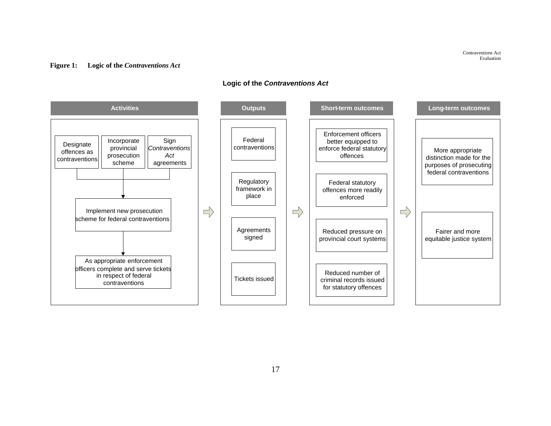Contraventions Act Evaluation

#### **Figure 1: Logic of the** *Contraventions Act*

#### **Logic of the** *Contraventions Act*

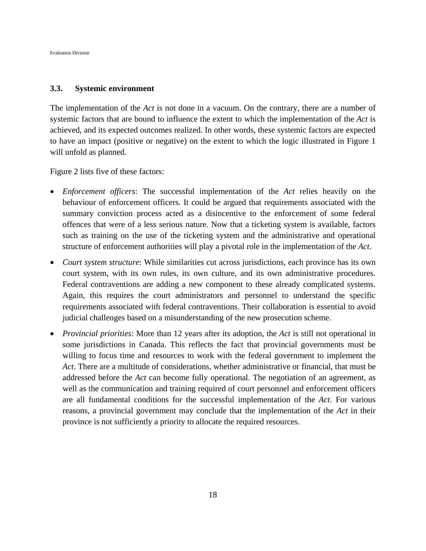#### **3.3. Systemic environment**

The implementation of the *Act* is not done in a vacuum. On the contrary, there are a number of systemic factors that are bound to influence the extent to which the implementation of the *Act* is achieved, and its expected outcomes realized. In other words, these systemic factors are expected to have an impact (positive or negative) on the extent to which the logic illustrated in Figure 1 will unfold as planned.

Figure 2 lists five of these factors:

- *Enforcement officers*: The successful implementation of the *Act* relies heavily on the behaviour of enforcement officers. It could be argued that requirements associated with the summary conviction process acted as a disincentive to the enforcement of some federal offences that were of a less serious nature. Now that a ticketing system is available, factors such as training on the use of the ticketing system and the administrative and operational structure of enforcement authorities will play a pivotal role in the implementation of the *Act*.
- *Court system structure*: While similarities cut across jurisdictions, each province has its own court system, with its own rules, its own culture, and its own administrative procedures. Federal contraventions are adding a new component to these already complicated systems. Again, this requires the court administrators and personnel to understand the specific requirements associated with federal contraventions. Their collaboration is essential to avoid judicial challenges based on a misunderstanding of the new prosecution scheme.
- *Provincial priorities*: More than 12 years after its adoption, the *Act* is still not operational in some jurisdictions in Canada. This reflects the fact that provincial governments must be willing to focus time and resources to work with the federal government to implement the *Act*. There are a multitude of considerations, whether administrative or financial, that must be addressed before the *Act* can become fully operational. The negotiation of an agreement, as well as the communication and training required of court personnel and enforcement officers are all fundamental conditions for the successful implementation of the *Act*. For various reasons, a provincial government may conclude that the implementation of the *Act* in their province is not sufficiently a priority to allocate the required resources.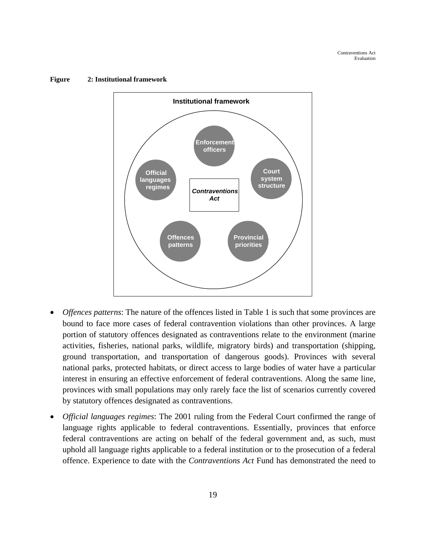

#### **Figure 2: Institutional framework**

- *Offences patterns*: The nature of the offences listed in Table 1 is such that some provinces are bound to face more cases of federal contravention violations than other provinces. A large portion of statutory offences designated as contraventions relate to the environment (marine activities, fisheries, national parks, wildlife, migratory birds) and transportation (shipping, ground transportation, and transportation of dangerous goods). Provinces with several national parks, protected habitats, or direct access to large bodies of water have a particular interest in ensuring an effective enforcement of federal contraventions. Along the same line, provinces with small populations may only rarely face the list of scenarios currently covered by statutory offences designated as contraventions.
- *Official languages regimes*: The 2001 ruling from the Federal Court confirmed the range of language rights applicable to federal contraventions. Essentially, provinces that enforce federal contraventions are acting on behalf of the federal government and, as such, must uphold all language rights applicable to a federal institution or to the prosecution of a federal offence. Experience to date with the *Contraventions Act* Fund has demonstrated the need to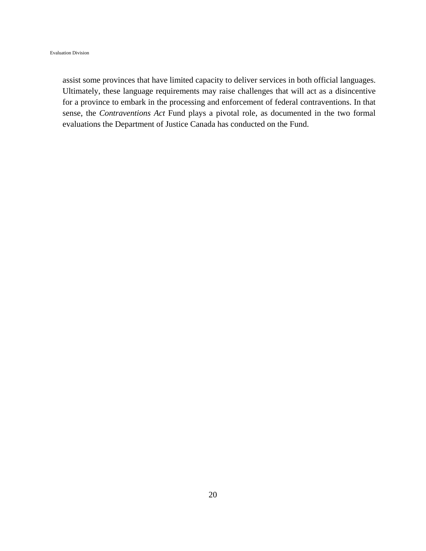assist some provinces that have limited capacity to deliver services in both official languages. Ultimately, these language requirements may raise challenges that will act as a disincentive for a province to embark in the processing and enforcement of federal contraventions. In that sense, the *Contraventions Act* Fund plays a pivotal role, as documented in the two formal evaluations the Department of Justice Canada has conducted on the Fund.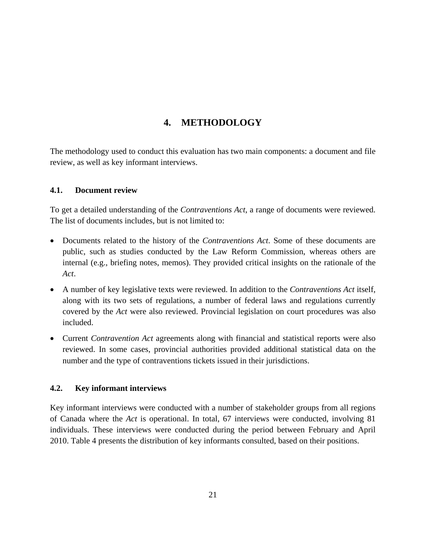# **4. METHODOLOGY**

The methodology used to conduct this evaluation has two main components: a document and file review, as well as key informant interviews.

# **4.1. Document review**

To get a detailed understanding of the *Contraventions Act*, a range of documents were reviewed. The list of documents includes, but is not limited to:

- Documents related to the history of the *Contraventions Act*. Some of these documents are public, such as studies conducted by the Law Reform Commission, whereas others are internal (e.g., briefing notes, memos). They provided critical insights on the rationale of the *Act*.
- A number of key legislative texts were reviewed. In addition to the *Contraventions Act* itself, along with its two sets of regulations, a number of federal laws and regulations currently covered by the *Act* were also reviewed. Provincial legislation on court procedures was also included.
- Current *Contravention Act* agreements along with financial and statistical reports were also reviewed. In some cases, provincial authorities provided additional statistical data on the number and the type of contraventions tickets issued in their jurisdictions.

## **4.2. Key informant interviews**

Key informant interviews were conducted with a number of stakeholder groups from all regions of Canada where the *Act* is operational. In total, 67 interviews were conducted, involving 81 individuals. These interviews were conducted during the period between February and April 2010. Table 4 presents the distribution of key informants consulted, based on their positions.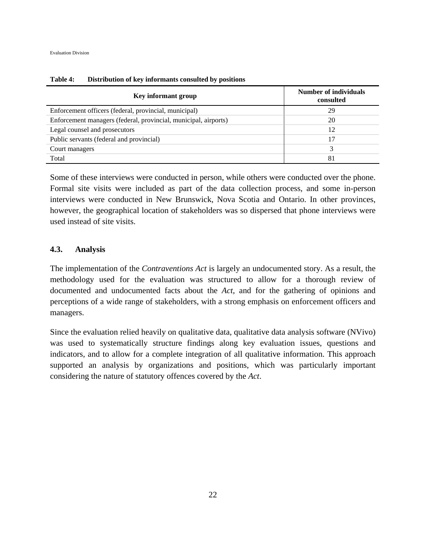| Key informant group                                             | <b>Number of individuals</b><br>consulted |
|-----------------------------------------------------------------|-------------------------------------------|
| Enforcement officers (federal, provincial, municipal)           | 29                                        |
| Enforcement managers (federal, provincial, municipal, airports) | 20                                        |
| Legal counsel and prosecutors                                   | 12                                        |
| Public servants (federal and provincial)                        | 17                                        |
| Court managers                                                  | 3                                         |
| Total                                                           | 81                                        |

**Table 4: Distribution of key informants consulted by positions** 

Some of these interviews were conducted in person, while others were conducted over the phone. Formal site visits were included as part of the data collection process, and some in-person interviews were conducted in New Brunswick, Nova Scotia and Ontario. In other provinces, however, the geographical location of stakeholders was so dispersed that phone interviews were used instead of site visits.

## **4.3. Analysis**

The implementation of the *Contraventions Act* is largely an undocumented story. As a result, the methodology used for the evaluation was structured to allow for a thorough review of documented and undocumented facts about the *Act*, and for the gathering of opinions and perceptions of a wide range of stakeholders, with a strong emphasis on enforcement officers and managers.

Since the evaluation relied heavily on qualitative data, qualitative data analysis software (NVivo) was used to systematically structure findings along key evaluation issues, questions and indicators, and to allow for a complete integration of all qualitative information. This approach supported an analysis by organizations and positions, which was particularly important considering the nature of statutory offences covered by the *Act*.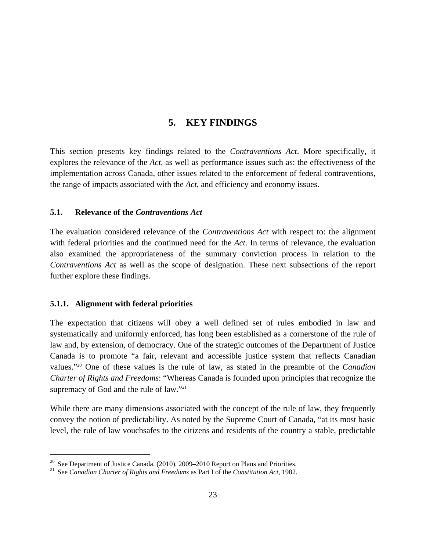# **5. KEY FINDINGS**

This section presents key findings related to the *Contraventions Act*. More specifically, it explores the relevance of the *Act*, as well as performance issues such as: the effectiveness of the implementation across Canada, other issues related to the enforcement of federal contraventions, the range of impacts associated with the *Act*, and efficiency and economy issues.

## **5.1. Relevance of the** *Contraventions Act*

The evaluation considered relevance of the *Contraventions Act* with respect to: the alignment with federal priorities and the continued need for the *Act*. In terms of relevance, the evaluation also examined the appropriateness of the summary conviction process in relation to the *Contraventions Act* as well as the scope of designation. These next subsections of the report further explore these findings.

## **5.1.1. Alignment with federal priorities**

<u>.</u>

The expectation that citizens will obey a well defined set of rules embodied in law and systematically and uniformly enforced, has long been established as a cornerstone of the rule of law and, by extension, of democracy. One of the strategic outcomes of the Department of Justice Canada is to promote "a fair, relevant and accessible justice system that reflects Canadian values."20 One of these values is the rule of law, as stated in the preamble of the *Canadian Charter of Rights and Freedoms*: "Whereas Canada is founded upon principles that recognize the supremacy of God and the rule of law."<sup>21</sup>

While there are many dimensions associated with the concept of the rule of law, they frequently convey the notion of predictability. As noted by the Supreme Court of Canada, "at its most basic level, the rule of law vouchsafes to the citizens and residents of the country a stable, predictable

<sup>20</sup> See Department of Justice Canada. (2010). 2009–2010 Report on Plans and Priorities. 21 See *Canadian Charter of Rights and Freedoms* as Part I of the *Constitution Act*, 1982.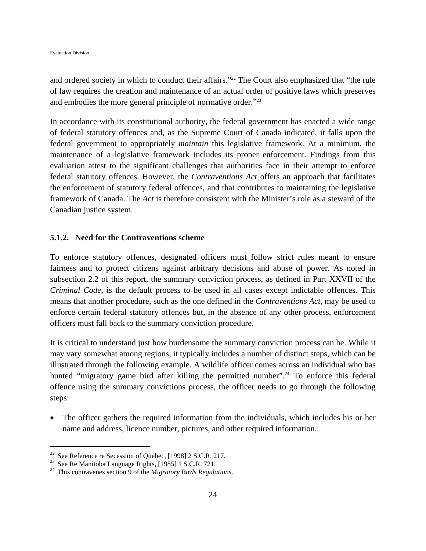and ordered society in which to conduct their affairs."<sup>22</sup> The Court also emphasized that "the rule of law requires the creation and maintenance of an actual order of positive laws which preserves and embodies the more general principle of normative order."23

In accordance with its constitutional authority, the federal government has enacted a wide range of federal statutory offences and, as the Supreme Court of Canada indicated, it falls upon the federal government to appropriately *maintain* this legislative framework. At a minimum, the maintenance of a legislative framework includes its proper enforcement. Findings from this evaluation attest to the significant challenges that authorities face in their attempt to enforce federal statutory offences. However, the *Contraventions Act* offers an approach that facilitates the enforcement of statutory federal offences, and that contributes to maintaining the legislative framework of Canada. The *Act* is therefore consistent with the Minister's role as a steward of the Canadian justice system.

## **5.1.2. Need for the Contraventions scheme**

To enforce statutory offences, designated officers must follow strict rules meant to ensure fairness and to protect citizens against arbitrary decisions and abuse of power. As noted in subsection 2.2 of this report, the summary conviction process, as defined in Part XXVII of the *Criminal Code*, is the default process to be used in all cases except indictable offences. This means that another procedure, such as the one defined in the *Contraventions Act*, may be used to enforce certain federal statutory offences but, in the absence of any other process, enforcement officers must fall back to the summary conviction procedure.

It is critical to understand just how burdensome the summary conviction process can be. While it may vary somewhat among regions, it typically includes a number of distinct steps, which can be illustrated through the following example. A wildlife officer comes across an individual who has hunted "migratory game bird after killing the permitted number".<sup>24</sup> To enforce this federal offence using the summary convictions process, the officer needs to go through the following steps:

 The officer gathers the required information from the individuals, which includes his or her name and address, licence number, pictures, and other required information.

1

<sup>&</sup>lt;sup>22</sup> See Reference re Secession of Quebec, [1998] 2 S.C.R. 217.<br><sup>23</sup> See Re Manitoba Language Rights, [1985] 1 S.C.R. 721.

<sup>24</sup> This contravenes section 9 of the *Migratory Birds Regulations*.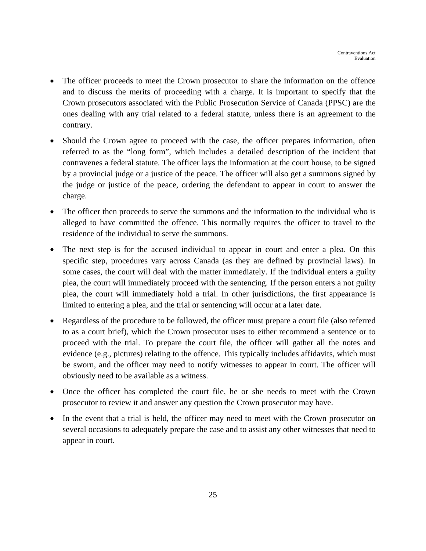- The officer proceeds to meet the Crown prosecutor to share the information on the offence and to discuss the merits of proceeding with a charge. It is important to specify that the Crown prosecutors associated with the Public Prosecution Service of Canada (PPSC) are the ones dealing with any trial related to a federal statute, unless there is an agreement to the contrary.
- Should the Crown agree to proceed with the case, the officer prepares information, often referred to as the "long form", which includes a detailed description of the incident that contravenes a federal statute. The officer lays the information at the court house, to be signed by a provincial judge or a justice of the peace. The officer will also get a summons signed by the judge or justice of the peace, ordering the defendant to appear in court to answer the charge.
- The officer then proceeds to serve the summons and the information to the individual who is alleged to have committed the offence. This normally requires the officer to travel to the residence of the individual to serve the summons.
- The next step is for the accused individual to appear in court and enter a plea. On this specific step, procedures vary across Canada (as they are defined by provincial laws). In some cases, the court will deal with the matter immediately. If the individual enters a guilty plea, the court will immediately proceed with the sentencing. If the person enters a not guilty plea, the court will immediately hold a trial. In other jurisdictions, the first appearance is limited to entering a plea, and the trial or sentencing will occur at a later date.
- Regardless of the procedure to be followed, the officer must prepare a court file (also referred to as a court brief), which the Crown prosecutor uses to either recommend a sentence or to proceed with the trial. To prepare the court file, the officer will gather all the notes and evidence (e.g., pictures) relating to the offence. This typically includes affidavits, which must be sworn, and the officer may need to notify witnesses to appear in court. The officer will obviously need to be available as a witness.
- Once the officer has completed the court file, he or she needs to meet with the Crown prosecutor to review it and answer any question the Crown prosecutor may have.
- In the event that a trial is held, the officer may need to meet with the Crown prosecutor on several occasions to adequately prepare the case and to assist any other witnesses that need to appear in court.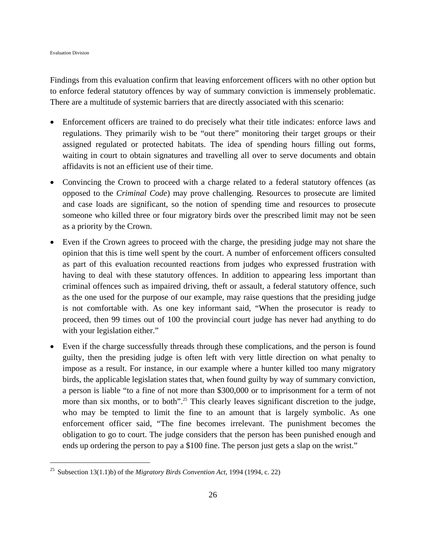$\overline{a}$ 

Findings from this evaluation confirm that leaving enforcement officers with no other option but to enforce federal statutory offences by way of summary conviction is immensely problematic. There are a multitude of systemic barriers that are directly associated with this scenario:

- Enforcement officers are trained to do precisely what their title indicates: enforce laws and regulations. They primarily wish to be "out there" monitoring their target groups or their assigned regulated or protected habitats. The idea of spending hours filling out forms, waiting in court to obtain signatures and travelling all over to serve documents and obtain affidavits is not an efficient use of their time.
- Convincing the Crown to proceed with a charge related to a federal statutory offences (as opposed to the *Criminal Code*) may prove challenging. Resources to prosecute are limited and case loads are significant, so the notion of spending time and resources to prosecute someone who killed three or four migratory birds over the prescribed limit may not be seen as a priority by the Crown.
- Even if the Crown agrees to proceed with the charge, the presiding judge may not share the opinion that this is time well spent by the court. A number of enforcement officers consulted as part of this evaluation recounted reactions from judges who expressed frustration with having to deal with these statutory offences. In addition to appearing less important than criminal offences such as impaired driving, theft or assault, a federal statutory offence, such as the one used for the purpose of our example, may raise questions that the presiding judge is not comfortable with. As one key informant said, "When the prosecutor is ready to proceed, then 99 times out of 100 the provincial court judge has never had anything to do with your legislation either."
- Even if the charge successfully threads through these complications, and the person is found guilty, then the presiding judge is often left with very little direction on what penalty to impose as a result. For instance, in our example where a hunter killed too many migratory birds, the applicable legislation states that, when found guilty by way of summary conviction, a person is liable "to a fine of not more than \$300,000 or to imprisonment for a term of not more than six months, or to both".<sup>25</sup> This clearly leaves significant discretion to the judge, who may be tempted to limit the fine to an amount that is largely symbolic. As one enforcement officer said, "The fine becomes irrelevant. The punishment becomes the obligation to go to court. The judge considers that the person has been punished enough and ends up ordering the person to pay a \$100 fine. The person just gets a slap on the wrist."

<sup>25</sup> Subsection 13(1.1)b) of the *Migratory Birds Convention Act*, 1994 (1994, c. 22)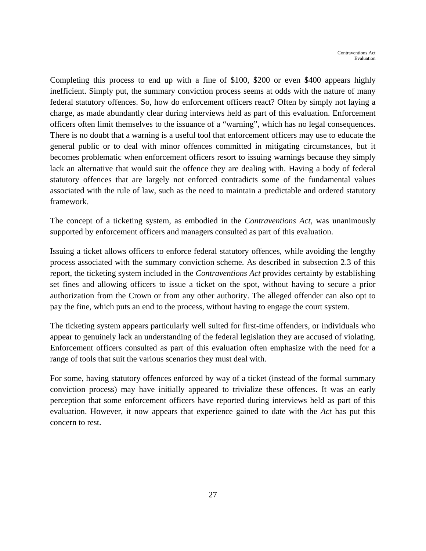Completing this process to end up with a fine of \$100, \$200 or even \$400 appears highly inefficient. Simply put, the summary conviction process seems at odds with the nature of many federal statutory offences. So, how do enforcement officers react? Often by simply not laying a charge, as made abundantly clear during interviews held as part of this evaluation. Enforcement officers often limit themselves to the issuance of a "warning", which has no legal consequences. There is no doubt that a warning is a useful tool that enforcement officers may use to educate the general public or to deal with minor offences committed in mitigating circumstances, but it becomes problematic when enforcement officers resort to issuing warnings because they simply lack an alternative that would suit the offence they are dealing with. Having a body of federal statutory offences that are largely not enforced contradicts some of the fundamental values associated with the rule of law, such as the need to maintain a predictable and ordered statutory framework.

The concept of a ticketing system, as embodied in the *Contraventions Act*, was unanimously supported by enforcement officers and managers consulted as part of this evaluation.

Issuing a ticket allows officers to enforce federal statutory offences, while avoiding the lengthy process associated with the summary conviction scheme. As described in subsection 2.3 of this report, the ticketing system included in the *Contraventions Act* provides certainty by establishing set fines and allowing officers to issue a ticket on the spot, without having to secure a prior authorization from the Crown or from any other authority. The alleged offender can also opt to pay the fine, which puts an end to the process, without having to engage the court system.

The ticketing system appears particularly well suited for first-time offenders, or individuals who appear to genuinely lack an understanding of the federal legislation they are accused of violating. Enforcement officers consulted as part of this evaluation often emphasize with the need for a range of tools that suit the various scenarios they must deal with.

For some, having statutory offences enforced by way of a ticket (instead of the formal summary conviction process) may have initially appeared to trivialize these offences. It was an early perception that some enforcement officers have reported during interviews held as part of this evaluation. However, it now appears that experience gained to date with the *Act* has put this concern to rest.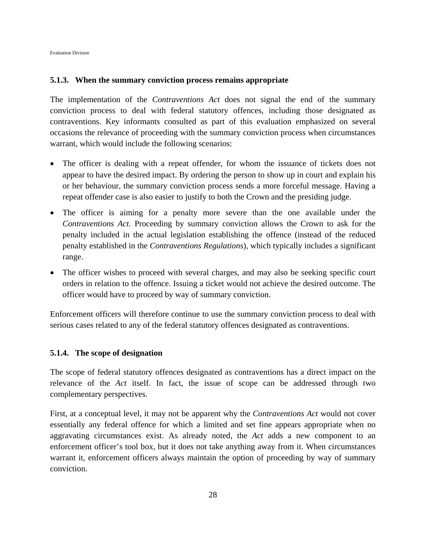#### **5.1.3. When the summary conviction process remains appropriate**

The implementation of the *Contraventions Act* does not signal the end of the summary conviction process to deal with federal statutory offences, including those designated as contraventions. Key informants consulted as part of this evaluation emphasized on several occasions the relevance of proceeding with the summary conviction process when circumstances warrant, which would include the following scenarios:

- The officer is dealing with a repeat offender, for whom the issuance of tickets does not appear to have the desired impact. By ordering the person to show up in court and explain his or her behaviour, the summary conviction process sends a more forceful message. Having a repeat offender case is also easier to justify to both the Crown and the presiding judge.
- The officer is aiming for a penalty more severe than the one available under the *Contraventions Act*. Proceeding by summary conviction allows the Crown to ask for the penalty included in the actual legislation establishing the offence (instead of the reduced penalty established in the *Contraventions Regulations*), which typically includes a significant range.
- The officer wishes to proceed with several charges, and may also be seeking specific court orders in relation to the offence. Issuing a ticket would not achieve the desired outcome. The officer would have to proceed by way of summary conviction.

Enforcement officers will therefore continue to use the summary conviction process to deal with serious cases related to any of the federal statutory offences designated as contraventions.

#### **5.1.4. The scope of designation**

The scope of federal statutory offences designated as contraventions has a direct impact on the relevance of the *Act* itself. In fact, the issue of scope can be addressed through two complementary perspectives.

First, at a conceptual level, it may not be apparent why the *Contraventions Act* would not cover essentially any federal offence for which a limited and set fine appears appropriate when no aggravating circumstances exist. As already noted, the *Act* adds a new component to an enforcement officer's tool box, but it does not take anything away from it. When circumstances warrant it, enforcement officers always maintain the option of proceeding by way of summary conviction.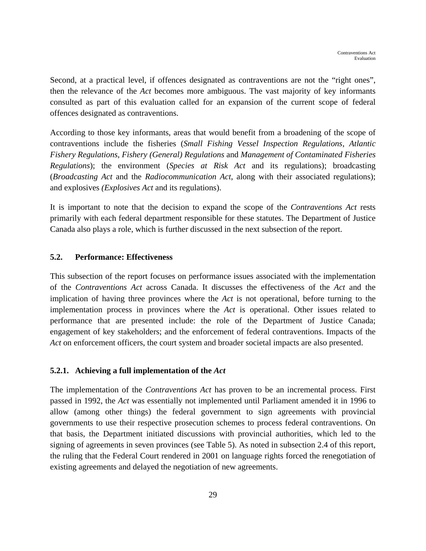Second, at a practical level, if offences designated as contraventions are not the "right ones", then the relevance of the *Act* becomes more ambiguous. The vast majority of key informants consulted as part of this evaluation called for an expansion of the current scope of federal offences designated as contraventions.

According to those key informants, areas that would benefit from a broadening of the scope of contraventions include the fisheries (*Small Fishing Vessel Inspection Regulations*, *Atlantic Fishery Regulations*, *Fishery (General) Regulations* and *Management of Contaminated Fisheries Regulations*); the environment (*Species at Risk Act* and its regulations); broadcasting (*Broadcasting Act* and the *Radiocommunication Act*, along with their associated regulations); and explosives *(Explosives Act* and its regulations).

It is important to note that the decision to expand the scope of the *Contraventions Act* rests primarily with each federal department responsible for these statutes. The Department of Justice Canada also plays a role, which is further discussed in the next subsection of the report.

# **5.2. Performance: Effectiveness**

This subsection of the report focuses on performance issues associated with the implementation of the *Contraventions Act* across Canada. It discusses the effectiveness of the *Act* and the implication of having three provinces where the *Act* is not operational, before turning to the implementation process in provinces where the *Act* is operational. Other issues related to performance that are presented include: the role of the Department of Justice Canada; engagement of key stakeholders; and the enforcement of federal contraventions. Impacts of the *Act* on enforcement officers, the court system and broader societal impacts are also presented.

## **5.2.1. Achieving a full implementation of the** *Act*

The implementation of the *Contraventions Act* has proven to be an incremental process. First passed in 1992, the *Act* was essentially not implemented until Parliament amended it in 1996 to allow (among other things) the federal government to sign agreements with provincial governments to use their respective prosecution schemes to process federal contraventions. On that basis, the Department initiated discussions with provincial authorities, which led to the signing of agreements in seven provinces (see Table 5). As noted in subsection 2.4 of this report, the ruling that the Federal Court rendered in 2001 on language rights forced the renegotiation of existing agreements and delayed the negotiation of new agreements.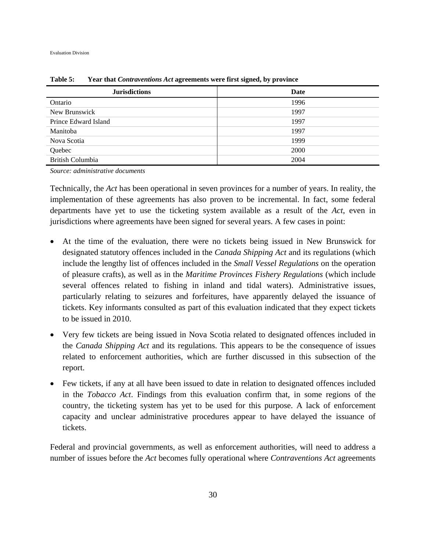| <b>Jurisdictions</b>    | Date |
|-------------------------|------|
| Ontario                 | 1996 |
| New Brunswick           | 1997 |
| Prince Edward Island    | 1997 |
| Manitoba                | 1997 |
| Nova Scotia             | 1999 |
| Quebec                  | 2000 |
| <b>British Columbia</b> | 2004 |

**Table 5: Year that** *Contraventions Act* **agreements were first signed, by province** 

*Source: administrative documents* 

Technically, the *Act* has been operational in seven provinces for a number of years. In reality, the implementation of these agreements has also proven to be incremental. In fact, some federal departments have yet to use the ticketing system available as a result of the *Act*, even in jurisdictions where agreements have been signed for several years. A few cases in point:

- At the time of the evaluation, there were no tickets being issued in New Brunswick for designated statutory offences included in the *Canada Shipping Act* and its regulations (which include the lengthy list of offences included in the *Small Vessel Regulations* on the operation of pleasure crafts), as well as in the *Maritime Provinces Fishery Regulations* (which include several offences related to fishing in inland and tidal waters). Administrative issues, particularly relating to seizures and forfeitures, have apparently delayed the issuance of tickets. Key informants consulted as part of this evaluation indicated that they expect tickets to be issued in 2010.
- Very few tickets are being issued in Nova Scotia related to designated offences included in the *Canada Shipping Act* and its regulations. This appears to be the consequence of issues related to enforcement authorities, which are further discussed in this subsection of the report.
- Few tickets, if any at all have been issued to date in relation to designated offences included in the *Tobacco Act*. Findings from this evaluation confirm that, in some regions of the country, the ticketing system has yet to be used for this purpose. A lack of enforcement capacity and unclear administrative procedures appear to have delayed the issuance of tickets.

Federal and provincial governments, as well as enforcement authorities, will need to address a number of issues before the *Act* becomes fully operational where *Contraventions Act* agreements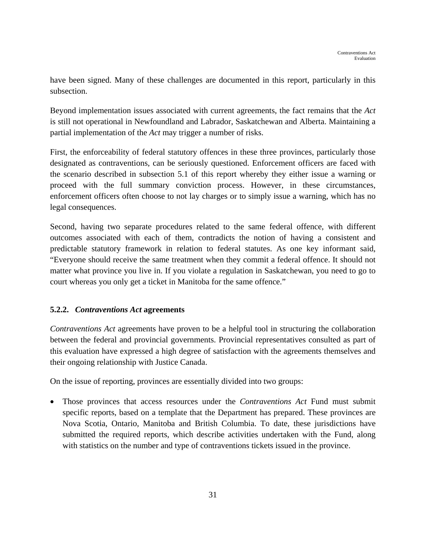have been signed. Many of these challenges are documented in this report, particularly in this subsection.

Beyond implementation issues associated with current agreements, the fact remains that the *Act* is still not operational in Newfoundland and Labrador, Saskatchewan and Alberta. Maintaining a partial implementation of the *Act* may trigger a number of risks.

First, the enforceability of federal statutory offences in these three provinces, particularly those designated as contraventions, can be seriously questioned. Enforcement officers are faced with the scenario described in subsection 5.1 of this report whereby they either issue a warning or proceed with the full summary conviction process. However, in these circumstances, enforcement officers often choose to not lay charges or to simply issue a warning, which has no legal consequences.

Second, having two separate procedures related to the same federal offence, with different outcomes associated with each of them, contradicts the notion of having a consistent and predictable statutory framework in relation to federal statutes. As one key informant said, "Everyone should receive the same treatment when they commit a federal offence. It should not matter what province you live in. If you violate a regulation in Saskatchewan, you need to go to court whereas you only get a ticket in Manitoba for the same offence."

# **5.2.2.** *Contraventions Act* **agreements**

*Contraventions Act* agreements have proven to be a helpful tool in structuring the collaboration between the federal and provincial governments. Provincial representatives consulted as part of this evaluation have expressed a high degree of satisfaction with the agreements themselves and their ongoing relationship with Justice Canada.

On the issue of reporting, provinces are essentially divided into two groups:

 Those provinces that access resources under the *Contraventions Act* Fund must submit specific reports, based on a template that the Department has prepared. These provinces are Nova Scotia, Ontario, Manitoba and British Columbia. To date, these jurisdictions have submitted the required reports, which describe activities undertaken with the Fund, along with statistics on the number and type of contraventions tickets issued in the province.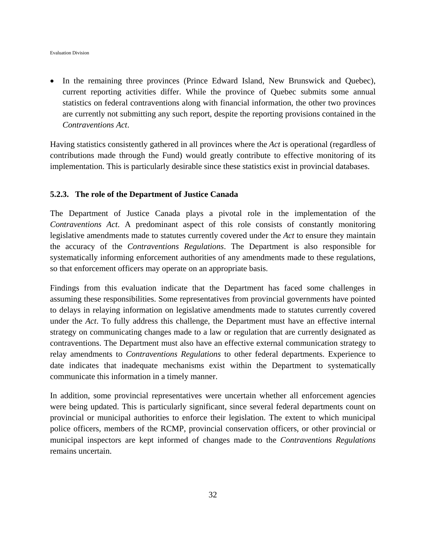In the remaining three provinces (Prince Edward Island, New Brunswick and Quebec), current reporting activities differ. While the province of Quebec submits some annual statistics on federal contraventions along with financial information, the other two provinces are currently not submitting any such report, despite the reporting provisions contained in the *Contraventions Act*.

Having statistics consistently gathered in all provinces where the *Act* is operational (regardless of contributions made through the Fund) would greatly contribute to effective monitoring of its implementation. This is particularly desirable since these statistics exist in provincial databases.

#### **5.2.3. The role of the Department of Justice Canada**

The Department of Justice Canada plays a pivotal role in the implementation of the *Contraventions Act*. A predominant aspect of this role consists of constantly monitoring legislative amendments made to statutes currently covered under the *Act* to ensure they maintain the accuracy of the *Contraventions Regulations*. The Department is also responsible for systematically informing enforcement authorities of any amendments made to these regulations, so that enforcement officers may operate on an appropriate basis.

Findings from this evaluation indicate that the Department has faced some challenges in assuming these responsibilities. Some representatives from provincial governments have pointed to delays in relaying information on legislative amendments made to statutes currently covered under the *Act*. To fully address this challenge, the Department must have an effective internal strategy on communicating changes made to a law or regulation that are currently designated as contraventions. The Department must also have an effective external communication strategy to relay amendments to *Contraventions Regulations* to other federal departments. Experience to date indicates that inadequate mechanisms exist within the Department to systematically communicate this information in a timely manner.

In addition, some provincial representatives were uncertain whether all enforcement agencies were being updated. This is particularly significant, since several federal departments count on provincial or municipal authorities to enforce their legislation. The extent to which municipal police officers, members of the RCMP, provincial conservation officers, or other provincial or municipal inspectors are kept informed of changes made to the *Contraventions Regulations* remains uncertain.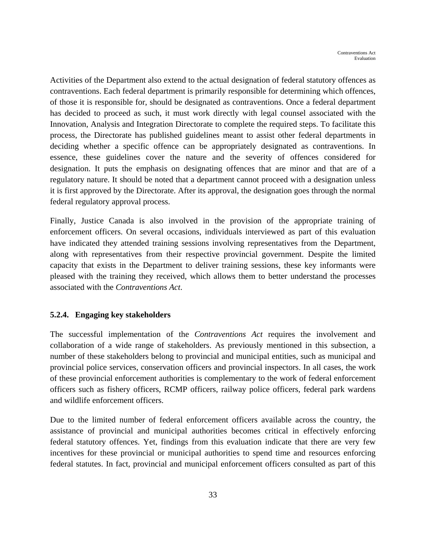Activities of the Department also extend to the actual designation of federal statutory offences as contraventions. Each federal department is primarily responsible for determining which offences, of those it is responsible for, should be designated as contraventions. Once a federal department has decided to proceed as such, it must work directly with legal counsel associated with the Innovation, Analysis and Integration Directorate to complete the required steps. To facilitate this process, the Directorate has published guidelines meant to assist other federal departments in deciding whether a specific offence can be appropriately designated as contraventions. In essence, these guidelines cover the nature and the severity of offences considered for designation. It puts the emphasis on designating offences that are minor and that are of a regulatory nature. It should be noted that a department cannot proceed with a designation unless it is first approved by the Directorate. After its approval, the designation goes through the normal federal regulatory approval process.

Finally, Justice Canada is also involved in the provision of the appropriate training of enforcement officers. On several occasions, individuals interviewed as part of this evaluation have indicated they attended training sessions involving representatives from the Department, along with representatives from their respective provincial government. Despite the limited capacity that exists in the Department to deliver training sessions, these key informants were pleased with the training they received, which allows them to better understand the processes associated with the *Contraventions Act*.

## **5.2.4. Engaging key stakeholders**

The successful implementation of the *Contraventions Act* requires the involvement and collaboration of a wide range of stakeholders. As previously mentioned in this subsection, a number of these stakeholders belong to provincial and municipal entities, such as municipal and provincial police services, conservation officers and provincial inspectors. In all cases, the work of these provincial enforcement authorities is complementary to the work of federal enforcement officers such as fishery officers, RCMP officers, railway police officers, federal park wardens and wildlife enforcement officers.

Due to the limited number of federal enforcement officers available across the country, the assistance of provincial and municipal authorities becomes critical in effectively enforcing federal statutory offences. Yet, findings from this evaluation indicate that there are very few incentives for these provincial or municipal authorities to spend time and resources enforcing federal statutes. In fact, provincial and municipal enforcement officers consulted as part of this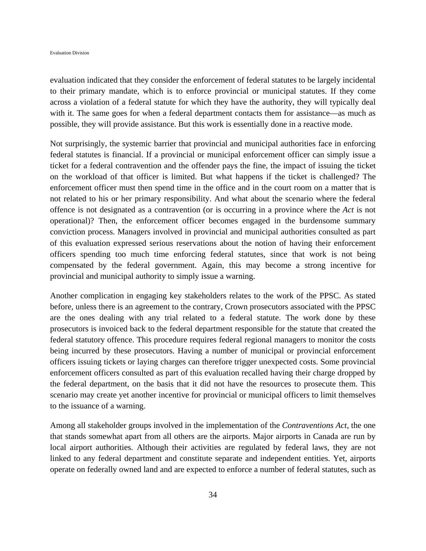evaluation indicated that they consider the enforcement of federal statutes to be largely incidental to their primary mandate, which is to enforce provincial or municipal statutes. If they come across a violation of a federal statute for which they have the authority, they will typically deal with it. The same goes for when a federal department contacts them for assistance—as much as possible, they will provide assistance. But this work is essentially done in a reactive mode.

Not surprisingly, the systemic barrier that provincial and municipal authorities face in enforcing federal statutes is financial. If a provincial or municipal enforcement officer can simply issue a ticket for a federal contravention and the offender pays the fine, the impact of issuing the ticket on the workload of that officer is limited. But what happens if the ticket is challenged? The enforcement officer must then spend time in the office and in the court room on a matter that is not related to his or her primary responsibility. And what about the scenario where the federal offence is not designated as a contravention (or is occurring in a province where the *Act* is not operational)? Then, the enforcement officer becomes engaged in the burdensome summary conviction process. Managers involved in provincial and municipal authorities consulted as part of this evaluation expressed serious reservations about the notion of having their enforcement officers spending too much time enforcing federal statutes, since that work is not being compensated by the federal government. Again, this may become a strong incentive for provincial and municipal authority to simply issue a warning.

Another complication in engaging key stakeholders relates to the work of the PPSC. As stated before, unless there is an agreement to the contrary, Crown prosecutors associated with the PPSC are the ones dealing with any trial related to a federal statute. The work done by these prosecutors is invoiced back to the federal department responsible for the statute that created the federal statutory offence. This procedure requires federal regional managers to monitor the costs being incurred by these prosecutors. Having a number of municipal or provincial enforcement officers issuing tickets or laying charges can therefore trigger unexpected costs. Some provincial enforcement officers consulted as part of this evaluation recalled having their charge dropped by the federal department, on the basis that it did not have the resources to prosecute them. This scenario may create yet another incentive for provincial or municipal officers to limit themselves to the issuance of a warning.

Among all stakeholder groups involved in the implementation of the *Contraventions Act*, the one that stands somewhat apart from all others are the airports. Major airports in Canada are run by local airport authorities. Although their activities are regulated by federal laws, they are not linked to any federal department and constitute separate and independent entities. Yet, airports operate on federally owned land and are expected to enforce a number of federal statutes, such as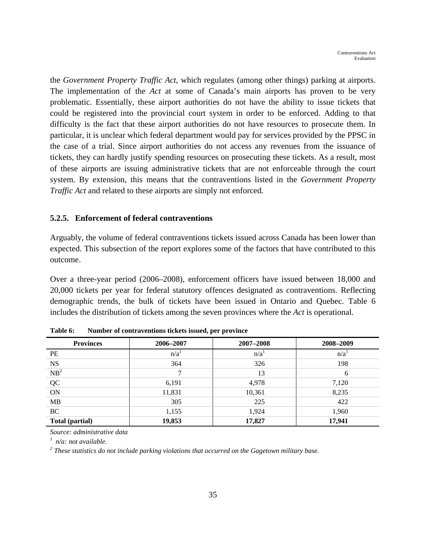the *Government Property Traffic Act*, which regulates (among other things) parking at airports. The implementation of the *Act* at some of Canada's main airports has proven to be very problematic. Essentially, these airport authorities do not have the ability to issue tickets that could be registered into the provincial court system in order to be enforced. Adding to that difficulty is the fact that these airport authorities do not have resources to prosecute them. In particular, it is unclear which federal department would pay for services provided by the PPSC in the case of a trial. Since airport authorities do not access any revenues from the issuance of tickets, they can hardly justify spending resources on prosecuting these tickets. As a result, most of these airports are issuing administrative tickets that are not enforceable through the court system. By extension, this means that the contraventions listed in the *Government Property Traffic Act* and related to these airports are simply not enforced.

#### **5.2.5. Enforcement of federal contraventions**

Arguably, the volume of federal contraventions tickets issued across Canada has been lower than expected. This subsection of the report explores some of the factors that have contributed to this outcome.

Over a three-year period (2006–2008), enforcement officers have issued between 18,000 and 20,000 tickets per year for federal statutory offences designated as contraventions. Reflecting demographic trends, the bulk of tickets have been issued in Ontario and Quebec. Table 6 includes the distribution of tickets among the seven provinces where the *Act* is operational.

| <b>Provinces</b> | 2006-2007        | 2007-2008        | 2008-2009        |
|------------------|------------------|------------------|------------------|
| PE               | n/a <sup>1</sup> | n/a <sup>1</sup> | n/a <sup>1</sup> |
| <b>NS</b>        | 364              | 326              | 198              |
| $NB^2$           | ⇁                | 13               | 6                |
| QC               | 6,191            | 4,978            | 7,120            |
| <b>ON</b>        | 11,831           | 10,361           | 8,235            |
| MB               | 305              | 225              | 422              |
| <b>BC</b>        | 1,155            | 1,924            | 1,960            |
| Total (partial)  | 19,853           | 17,827           | 17,941           |

**Table 6: Number of contraventions tickets issued, per province** 

*Source: administrative data* 

*1 n/a: not available.* 

<sup>2</sup> These statistics do not include parking violations that occurred on the Gagetown military base.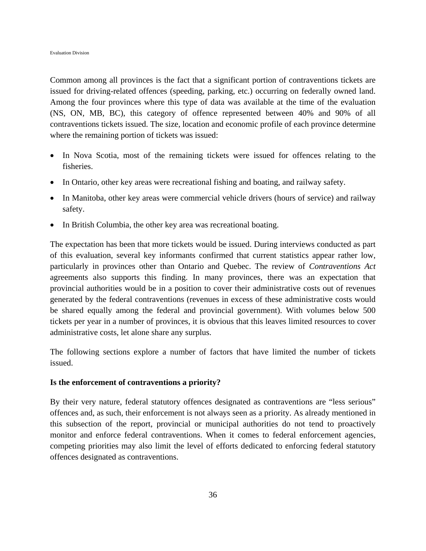Common among all provinces is the fact that a significant portion of contraventions tickets are issued for driving-related offences (speeding, parking, etc.) occurring on federally owned land. Among the four provinces where this type of data was available at the time of the evaluation (NS, ON, MB, BC), this category of offence represented between 40% and 90% of all contraventions tickets issued. The size, location and economic profile of each province determine where the remaining portion of tickets was issued:

- In Nova Scotia, most of the remaining tickets were issued for offences relating to the fisheries.
- In Ontario, other key areas were recreational fishing and boating, and railway safety.
- In Manitoba, other key areas were commercial vehicle drivers (hours of service) and railway safety.
- In British Columbia, the other key area was recreational boating.

The expectation has been that more tickets would be issued. During interviews conducted as part of this evaluation, several key informants confirmed that current statistics appear rather low, particularly in provinces other than Ontario and Quebec. The review of *Contraventions Act* agreements also supports this finding. In many provinces, there was an expectation that provincial authorities would be in a position to cover their administrative costs out of revenues generated by the federal contraventions (revenues in excess of these administrative costs would be shared equally among the federal and provincial government). With volumes below 500 tickets per year in a number of provinces, it is obvious that this leaves limited resources to cover administrative costs, let alone share any surplus.

The following sections explore a number of factors that have limited the number of tickets issued.

#### **Is the enforcement of contraventions a priority?**

By their very nature, federal statutory offences designated as contraventions are "less serious" offences and, as such, their enforcement is not always seen as a priority. As already mentioned in this subsection of the report, provincial or municipal authorities do not tend to proactively monitor and enforce federal contraventions. When it comes to federal enforcement agencies, competing priorities may also limit the level of efforts dedicated to enforcing federal statutory offences designated as contraventions.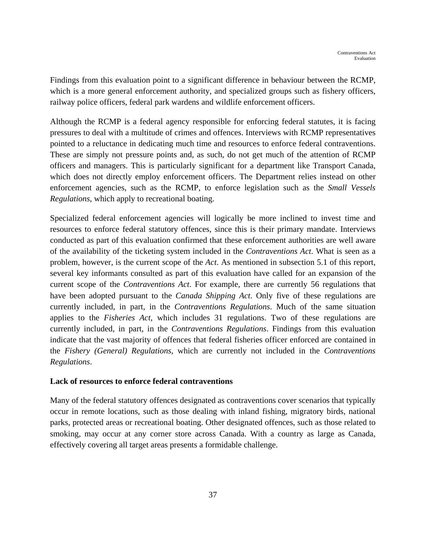Findings from this evaluation point to a significant difference in behaviour between the RCMP, which is a more general enforcement authority, and specialized groups such as fishery officers, railway police officers, federal park wardens and wildlife enforcement officers.

Although the RCMP is a federal agency responsible for enforcing federal statutes, it is facing pressures to deal with a multitude of crimes and offences. Interviews with RCMP representatives pointed to a reluctance in dedicating much time and resources to enforce federal contraventions. These are simply not pressure points and, as such, do not get much of the attention of RCMP officers and managers. This is particularly significant for a department like Transport Canada, which does not directly employ enforcement officers. The Department relies instead on other enforcement agencies, such as the RCMP, to enforce legislation such as the *Small Vessels Regulations*, which apply to recreational boating.

Specialized federal enforcement agencies will logically be more inclined to invest time and resources to enforce federal statutory offences, since this is their primary mandate. Interviews conducted as part of this evaluation confirmed that these enforcement authorities are well aware of the availability of the ticketing system included in the *Contraventions Act*. What is seen as a problem, however, is the current scope of the *Act*. As mentioned in subsection 5.1 of this report, several key informants consulted as part of this evaluation have called for an expansion of the current scope of the *Contraventions Act*. For example, there are currently 56 regulations that have been adopted pursuant to the *Canada Shipping Act*. Only five of these regulations are currently included, in part, in the *Contraventions Regulations*. Much of the same situation applies to the *Fisheries Act*, which includes 31 regulations. Two of these regulations are currently included, in part, in the *Contraventions Regulations*. Findings from this evaluation indicate that the vast majority of offences that federal fisheries officer enforced are contained in the *Fishery (General) Regulations*, which are currently not included in the *Contraventions Regulations*.

## **Lack of resources to enforce federal contraventions**

Many of the federal statutory offences designated as contraventions cover scenarios that typically occur in remote locations, such as those dealing with inland fishing, migratory birds, national parks, protected areas or recreational boating. Other designated offences, such as those related to smoking, may occur at any corner store across Canada. With a country as large as Canada, effectively covering all target areas presents a formidable challenge.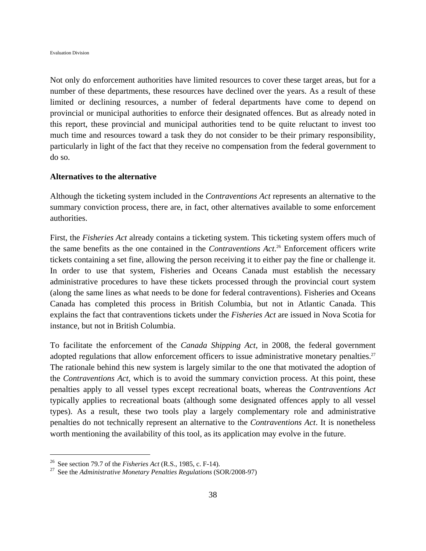Not only do enforcement authorities have limited resources to cover these target areas, but for a number of these departments, these resources have declined over the years. As a result of these limited or declining resources, a number of federal departments have come to depend on provincial or municipal authorities to enforce their designated offences. But as already noted in this report, these provincial and municipal authorities tend to be quite reluctant to invest too much time and resources toward a task they do not consider to be their primary responsibility, particularly in light of the fact that they receive no compensation from the federal government to do so.

#### **Alternatives to the alternative**

Although the ticketing system included in the *Contraventions Act* represents an alternative to the summary conviction process, there are, in fact, other alternatives available to some enforcement authorities.

First, the *Fisheries Act* already contains a ticketing system. This ticketing system offers much of the same benefits as the one contained in the *Contraventions Act*. 26 Enforcement officers write tickets containing a set fine, allowing the person receiving it to either pay the fine or challenge it. In order to use that system, Fisheries and Oceans Canada must establish the necessary administrative procedures to have these tickets processed through the provincial court system (along the same lines as what needs to be done for federal contraventions). Fisheries and Oceans Canada has completed this process in British Columbia, but not in Atlantic Canada. This explains the fact that contraventions tickets under the *Fisheries Act* are issued in Nova Scotia for instance, but not in British Columbia.

To facilitate the enforcement of the *Canada Shipping Act*, in 2008, the federal government adopted regulations that allow enforcement officers to issue administrative monetary penalties.<sup>27</sup> The rationale behind this new system is largely similar to the one that motivated the adoption of the *Contraventions Act*, which is to avoid the summary conviction process. At this point, these penalties apply to all vessel types except recreational boats, whereas the *Contraventions Act* typically applies to recreational boats (although some designated offences apply to all vessel types). As a result, these two tools play a largely complementary role and administrative penalties do not technically represent an alternative to the *Contraventions Act*. It is nonetheless worth mentioning the availability of this tool, as its application may evolve in the future.

<u>.</u>

<sup>&</sup>lt;sup>26</sup> See section 79.7 of the *Fisheries Act* (R.S., 1985, c. F-14).<br><sup>27</sup> See the *Administrative Monetary Penalties Regulations* (SOR/2008-97)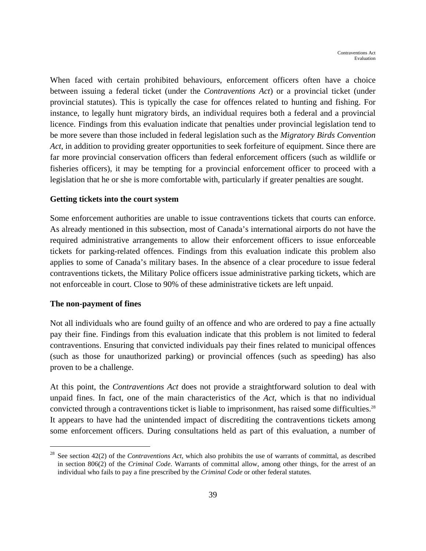When faced with certain prohibited behaviours, enforcement officers often have a choice between issuing a federal ticket (under the *Contraventions Act*) or a provincial ticket (under provincial statutes). This is typically the case for offences related to hunting and fishing. For instance, to legally hunt migratory birds, an individual requires both a federal and a provincial licence. Findings from this evaluation indicate that penalties under provincial legislation tend to be more severe than those included in federal legislation such as the *Migratory Birds Convention Act*, in addition to providing greater opportunities to seek forfeiture of equipment. Since there are far more provincial conservation officers than federal enforcement officers (such as wildlife or fisheries officers), it may be tempting for a provincial enforcement officer to proceed with a legislation that he or she is more comfortable with, particularly if greater penalties are sought.

#### **Getting tickets into the court system**

Some enforcement authorities are unable to issue contraventions tickets that courts can enforce. As already mentioned in this subsection, most of Canada's international airports do not have the required administrative arrangements to allow their enforcement officers to issue enforceable tickets for parking-related offences. Findings from this evaluation indicate this problem also applies to some of Canada's military bases. In the absence of a clear procedure to issue federal contraventions tickets, the Military Police officers issue administrative parking tickets, which are not enforceable in court. Close to 90% of these administrative tickets are left unpaid.

#### **The non-payment of fines**

1

Not all individuals who are found guilty of an offence and who are ordered to pay a fine actually pay their fine. Findings from this evaluation indicate that this problem is not limited to federal contraventions. Ensuring that convicted individuals pay their fines related to municipal offences (such as those for unauthorized parking) or provincial offences (such as speeding) has also proven to be a challenge.

At this point, the *Contraventions Act* does not provide a straightforward solution to deal with unpaid fines. In fact, one of the main characteristics of the *Act*, which is that no individual convicted through a contraventions ticket is liable to imprisonment, has raised some difficulties.<sup>28</sup> It appears to have had the unintended impact of discrediting the contraventions tickets among some enforcement officers. During consultations held as part of this evaluation, a number of

<sup>28</sup> See section 42(2) of the *Contraventions Act*, which also prohibits the use of warrants of committal, as described in section 806(2) of the *Criminal Code*. Warrants of committal allow, among other things, for the arrest of an individual who fails to pay a fine prescribed by the *Criminal Code* or other federal statutes.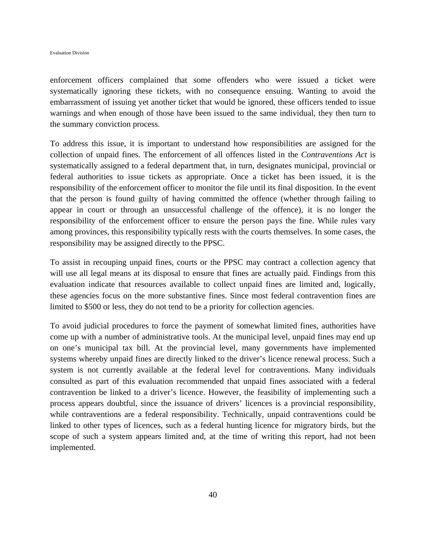enforcement officers complained that some offenders who were issued a ticket were systematically ignoring these tickets, with no consequence ensuing. Wanting to avoid the embarrassment of issuing yet another ticket that would be ignored, these officers tended to issue warnings and when enough of those have been issued to the same individual, they then turn to the summary conviction process.

To address this issue, it is important to understand how responsibilities are assigned for the collection of unpaid fines. The enforcement of all offences listed in the *Contraventions Act* is systematically assigned to a federal department that, in turn, designates municipal, provincial or federal authorities to issue tickets as appropriate. Once a ticket has been issued, it is the responsibility of the enforcement officer to monitor the file until its final disposition. In the event that the person is found guilty of having committed the offence (whether through failing to appear in court or through an unsuccessful challenge of the offence), it is no longer the responsibility of the enforcement officer to ensure the person pays the fine. While rules vary among provinces, this responsibility typically rests with the courts themselves. In some cases, the responsibility may be assigned directly to the PPSC.

To assist in recouping unpaid fines, courts or the PPSC may contract a collection agency that will use all legal means at its disposal to ensure that fines are actually paid. Findings from this evaluation indicate that resources available to collect unpaid fines are limited and, logically, these agencies focus on the more substantive fines. Since most federal contravention fines are limited to \$500 or less, they do not tend to be a priority for collection agencies.

To avoid judicial procedures to force the payment of somewhat limited fines, authorities have come up with a number of administrative tools. At the municipal level, unpaid fines may end up on one's municipal tax bill. At the provincial level, many governments have implemented systems whereby unpaid fines are directly linked to the driver's licence renewal process. Such a system is not currently available at the federal level for contraventions. Many individuals consulted as part of this evaluation recommended that unpaid fines associated with a federal contravention be linked to a driver's licence. However, the feasibility of implementing such a process appears doubtful, since the issuance of drivers' licences is a provincial responsibility, while contraventions are a federal responsibility. Technically, unpaid contraventions could be linked to other types of licences, such as a federal hunting licence for migratory birds, but the scope of such a system appears limited and, at the time of writing this report, had not been implemented.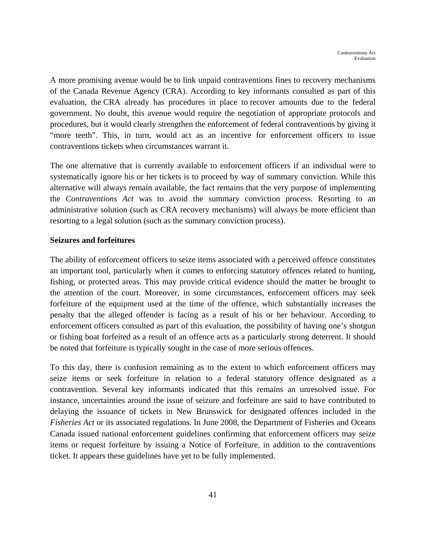A more promising avenue would be to link unpaid contraventions fines to recovery mechanisms of the Canada Revenue Agency (CRA). According to key informants consulted as part of this evaluation, the CRA already has procedures in place to recover amounts due to the federal government. No doubt, this avenue would require the negotiation of appropriate protocols and procedures, but it would clearly strengthen the enforcement of federal contraventions by giving it "more teeth". This, in turn, would act as an incentive for enforcement officers to issue contraventions tickets when circumstances warrant it.

The one alternative that is currently available to enforcement officers if an individual were to systematically ignore his or her tickets is to proceed by way of summary conviction. While this alternative will always remain available, the fact remains that the very purpose of implementing the *Contraventions Act* was to avoid the summary conviction process. Resorting to an administrative solution (such as CRA recovery mechanisms) will always be more efficient than resorting to a legal solution (such as the summary conviction process).

## **Seizures and forfeitures**

The ability of enforcement officers to seize items associated with a perceived offence constitutes an important tool, particularly when it comes to enforcing statutory offences related to hunting, fishing, or protected areas. This may provide critical evidence should the matter be brought to the attention of the court. Moreover, in some circumstances, enforcement officers may seek forfeiture of the equipment used at the time of the offence, which substantially increases the penalty that the alleged offender is facing as a result of his or her behaviour. According to enforcement officers consulted as part of this evaluation, the possibility of having one's shotgun or fishing boat forfeited as a result of an offence acts as a particularly strong deterrent. It should be noted that forfeiture is typically sought in the case of more serious offences.

To this day, there is confusion remaining as to the extent to which enforcement officers may seize items or seek forfeiture in relation to a federal statutory offence designated as a contravention. Several key informants indicated that this remains an unresolved issue. For instance, uncertainties around the issue of seizure and forfeiture are said to have contributed to delaying the issuance of tickets in New Brunswick for designated offences included in the *Fisheries Act* or its associated regulations. In June 2008, the Department of Fisheries and Oceans Canada issued national enforcement guidelines confirming that enforcement officers may seize items or request forfeiture by issuing a Notice of Forfeiture, in addition to the contraventions ticket. It appears these guidelines have yet to be fully implemented.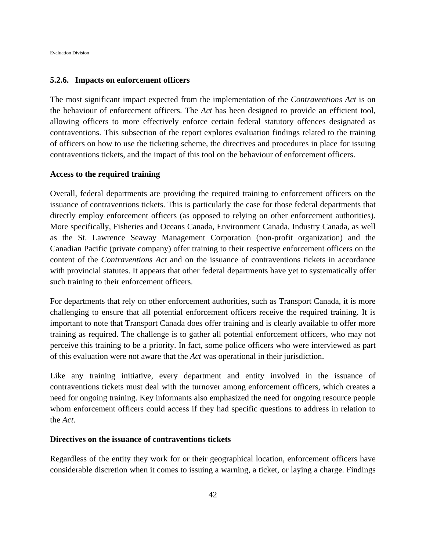#### **5.2.6. Impacts on enforcement officers**

The most significant impact expected from the implementation of the *Contraventions Act* is on the behaviour of enforcement officers. The *Act* has been designed to provide an efficient tool, allowing officers to more effectively enforce certain federal statutory offences designated as contraventions. This subsection of the report explores evaluation findings related to the training of officers on how to use the ticketing scheme, the directives and procedures in place for issuing contraventions tickets, and the impact of this tool on the behaviour of enforcement officers.

#### **Access to the required training**

Overall, federal departments are providing the required training to enforcement officers on the issuance of contraventions tickets. This is particularly the case for those federal departments that directly employ enforcement officers (as opposed to relying on other enforcement authorities). More specifically, Fisheries and Oceans Canada, Environment Canada, Industry Canada, as well as the St. Lawrence Seaway Management Corporation (non-profit organization) and the Canadian Pacific (private company) offer training to their respective enforcement officers on the content of the *Contraventions Act* and on the issuance of contraventions tickets in accordance with provincial statutes. It appears that other federal departments have yet to systematically offer such training to their enforcement officers.

For departments that rely on other enforcement authorities, such as Transport Canada, it is more challenging to ensure that all potential enforcement officers receive the required training. It is important to note that Transport Canada does offer training and is clearly available to offer more training as required. The challenge is to gather all potential enforcement officers, who may not perceive this training to be a priority. In fact, some police officers who were interviewed as part of this evaluation were not aware that the *Act* was operational in their jurisdiction.

Like any training initiative, every department and entity involved in the issuance of contraventions tickets must deal with the turnover among enforcement officers, which creates a need for ongoing training. Key informants also emphasized the need for ongoing resource people whom enforcement officers could access if they had specific questions to address in relation to the *Act*.

#### **Directives on the issuance of contraventions tickets**

Regardless of the entity they work for or their geographical location, enforcement officers have considerable discretion when it comes to issuing a warning, a ticket, or laying a charge. Findings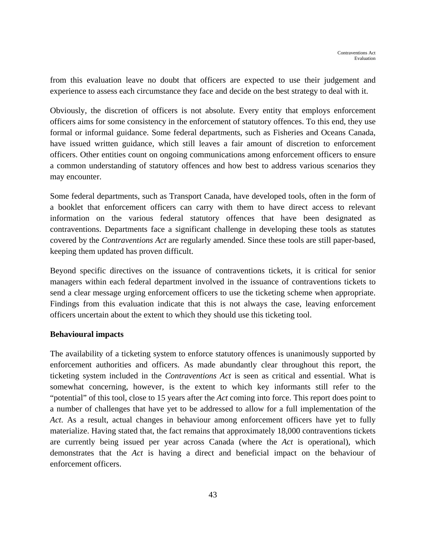from this evaluation leave no doubt that officers are expected to use their judgement and experience to assess each circumstance they face and decide on the best strategy to deal with it.

Obviously, the discretion of officers is not absolute. Every entity that employs enforcement officers aims for some consistency in the enforcement of statutory offences. To this end, they use formal or informal guidance. Some federal departments, such as Fisheries and Oceans Canada, have issued written guidance, which still leaves a fair amount of discretion to enforcement officers. Other entities count on ongoing communications among enforcement officers to ensure a common understanding of statutory offences and how best to address various scenarios they may encounter.

Some federal departments, such as Transport Canada, have developed tools, often in the form of a booklet that enforcement officers can carry with them to have direct access to relevant information on the various federal statutory offences that have been designated as contraventions. Departments face a significant challenge in developing these tools as statutes covered by the *Contraventions Act* are regularly amended. Since these tools are still paper-based, keeping them updated has proven difficult.

Beyond specific directives on the issuance of contraventions tickets, it is critical for senior managers within each federal department involved in the issuance of contraventions tickets to send a clear message urging enforcement officers to use the ticketing scheme when appropriate. Findings from this evaluation indicate that this is not always the case, leaving enforcement officers uncertain about the extent to which they should use this ticketing tool.

## **Behavioural impacts**

The availability of a ticketing system to enforce statutory offences is unanimously supported by enforcement authorities and officers. As made abundantly clear throughout this report, the ticketing system included in the *Contraventions Act* is seen as critical and essential. What is somewhat concerning, however, is the extent to which key informants still refer to the "potential" of this tool, close to 15 years after the *Act* coming into force. This report does point to a number of challenges that have yet to be addressed to allow for a full implementation of the *Act*. As a result, actual changes in behaviour among enforcement officers have yet to fully materialize. Having stated that, the fact remains that approximately 18,000 contraventions tickets are currently being issued per year across Canada (where the *Act* is operational), which demonstrates that the *Act* is having a direct and beneficial impact on the behaviour of enforcement officers.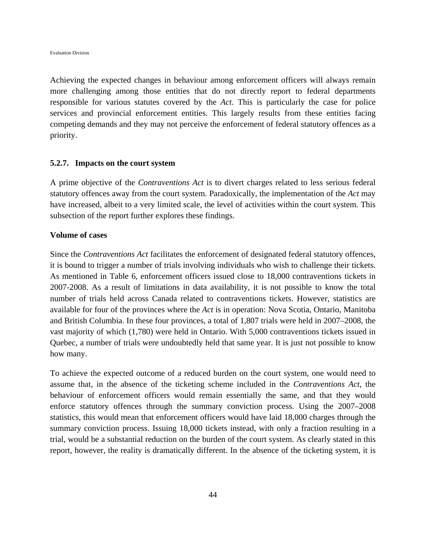Achieving the expected changes in behaviour among enforcement officers will always remain more challenging among those entities that do not directly report to federal departments responsible for various statutes covered by the *Act*. This is particularly the case for police services and provincial enforcement entities. This largely results from these entities facing competing demands and they may not perceive the enforcement of federal statutory offences as a priority.

#### **5.2.7. Impacts on the court system**

A prime objective of the *Contraventions Act* is to divert charges related to less serious federal statutory offences away from the court system. Paradoxically, the implementation of the *Act* may have increased, albeit to a very limited scale, the level of activities within the court system. This subsection of the report further explores these findings.

#### **Volume of cases**

Since the *Contraventions Act* facilitates the enforcement of designated federal statutory offences, it is bound to trigger a number of trials involving individuals who wish to challenge their tickets. As mentioned in Table 6, enforcement officers issued close to 18,000 contraventions tickets in 2007-2008. As a result of limitations in data availability, it is not possible to know the total number of trials held across Canada related to contraventions tickets. However, statistics are available for four of the provinces where the *Act* is in operation: Nova Scotia, Ontario, Manitoba and British Columbia. In these four provinces, a total of 1,807 trials were held in 2007–2008, the vast majority of which (1,780) were held in Ontario. With 5,000 contraventions tickets issued in Quebec, a number of trials were undoubtedly held that same year. It is just not possible to know how many.

To achieve the expected outcome of a reduced burden on the court system, one would need to assume that, in the absence of the ticketing scheme included in the *Contraventions Act*, the behaviour of enforcement officers would remain essentially the same, and that they would enforce statutory offences through the summary conviction process. Using the 2007–2008 statistics, this would mean that enforcement officers would have laid 18,000 charges through the summary conviction process. Issuing 18,000 tickets instead, with only a fraction resulting in a trial, would be a substantial reduction on the burden of the court system. As clearly stated in this report, however, the reality is dramatically different. In the absence of the ticketing system, it is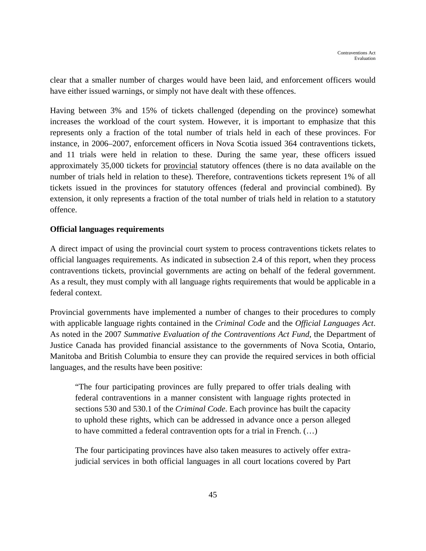clear that a smaller number of charges would have been laid, and enforcement officers would have either issued warnings, or simply not have dealt with these offences.

Having between 3% and 15% of tickets challenged (depending on the province) somewhat increases the workload of the court system. However, it is important to emphasize that this represents only a fraction of the total number of trials held in each of these provinces. For instance, in 2006–2007, enforcement officers in Nova Scotia issued 364 contraventions tickets, and 11 trials were held in relation to these. During the same year, these officers issued approximately 35,000 tickets for provincial statutory offences (there is no data available on the number of trials held in relation to these). Therefore, contraventions tickets represent 1% of all tickets issued in the provinces for statutory offences (federal and provincial combined). By extension, it only represents a fraction of the total number of trials held in relation to a statutory offence.

## **Official languages requirements**

A direct impact of using the provincial court system to process contraventions tickets relates to official languages requirements. As indicated in subsection 2.4 of this report, when they process contraventions tickets, provincial governments are acting on behalf of the federal government. As a result, they must comply with all language rights requirements that would be applicable in a federal context.

Provincial governments have implemented a number of changes to their procedures to comply with applicable language rights contained in the *Criminal Code* and the *Official Languages Act*. As noted in the 2007 *Summative Evaluation of the Contraventions Act Fund*, the Department of Justice Canada has provided financial assistance to the governments of Nova Scotia, Ontario, Manitoba and British Columbia to ensure they can provide the required services in both official languages, and the results have been positive:

"The four participating provinces are fully prepared to offer trials dealing with federal contraventions in a manner consistent with language rights protected in sections 530 and 530.1 of the *Criminal Code*. Each province has built the capacity to uphold these rights, which can be addressed in advance once a person alleged to have committed a federal contravention opts for a trial in French. (…)

The four participating provinces have also taken measures to actively offer extrajudicial services in both official languages in all court locations covered by Part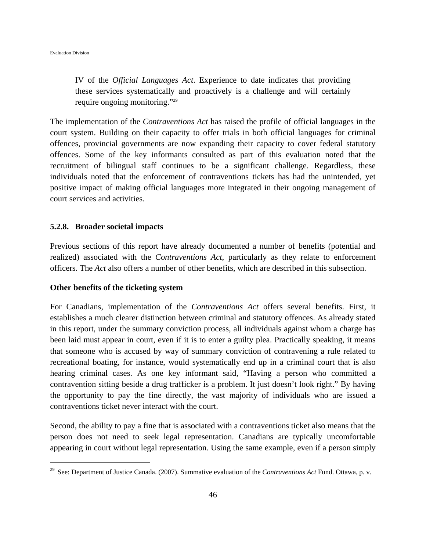IV of the *Official Languages Act*. Experience to date indicates that providing these services systematically and proactively is a challenge and will certainly require ongoing monitoring."29

The implementation of the *Contraventions Act* has raised the profile of official languages in the court system. Building on their capacity to offer trials in both official languages for criminal offences, provincial governments are now expanding their capacity to cover federal statutory offences. Some of the key informants consulted as part of this evaluation noted that the recruitment of bilingual staff continues to be a significant challenge. Regardless, these individuals noted that the enforcement of contraventions tickets has had the unintended, yet positive impact of making official languages more integrated in their ongoing management of court services and activities.

#### **5.2.8. Broader societal impacts**

Previous sections of this report have already documented a number of benefits (potential and realized) associated with the *Contraventions Act*, particularly as they relate to enforcement officers. The *Act* also offers a number of other benefits, which are described in this subsection.

#### **Other benefits of the ticketing system**

 $\overline{a}$ 

For Canadians, implementation of the *Contraventions Act* offers several benefits. First, it establishes a much clearer distinction between criminal and statutory offences. As already stated in this report, under the summary conviction process, all individuals against whom a charge has been laid must appear in court, even if it is to enter a guilty plea. Practically speaking, it means that someone who is accused by way of summary conviction of contravening a rule related to recreational boating, for instance, would systematically end up in a criminal court that is also hearing criminal cases. As one key informant said, "Having a person who committed a contravention sitting beside a drug trafficker is a problem. It just doesn't look right." By having the opportunity to pay the fine directly, the vast majority of individuals who are issued a contraventions ticket never interact with the court.

Second, the ability to pay a fine that is associated with a contraventions ticket also means that the person does not need to seek legal representation. Canadians are typically uncomfortable appearing in court without legal representation. Using the same example, even if a person simply

<sup>29</sup> See: Department of Justice Canada. (2007). Summative evaluation of the *Contraventions Act* Fund. Ottawa, p. v.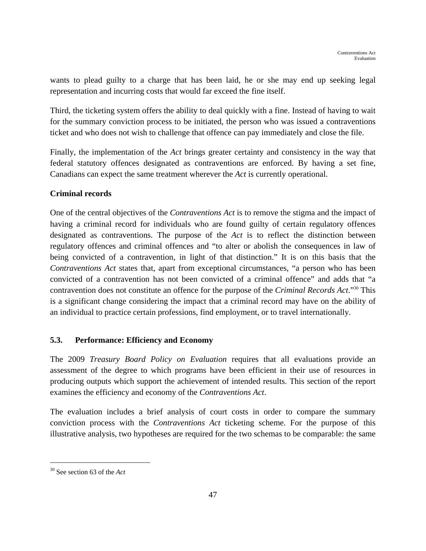wants to plead guilty to a charge that has been laid, he or she may end up seeking legal representation and incurring costs that would far exceed the fine itself.

Third, the ticketing system offers the ability to deal quickly with a fine. Instead of having to wait for the summary conviction process to be initiated, the person who was issued a contraventions ticket and who does not wish to challenge that offence can pay immediately and close the file.

Finally, the implementation of the *Act* brings greater certainty and consistency in the way that federal statutory offences designated as contraventions are enforced. By having a set fine, Canadians can expect the same treatment wherever the *Act* is currently operational.

# **Criminal records**

One of the central objectives of the *Contraventions Act* is to remove the stigma and the impact of having a criminal record for individuals who are found guilty of certain regulatory offences designated as contraventions. The purpose of the *Act* is to reflect the distinction between regulatory offences and criminal offences and "to alter or abolish the consequences in law of being convicted of a contravention, in light of that distinction." It is on this basis that the *Contraventions Act* states that, apart from exceptional circumstances, "a person who has been convicted of a contravention has not been convicted of a criminal offence" and adds that "a contravention does not constitute an offence for the purpose of the *Criminal Records Act*."30 This is a significant change considering the impact that a criminal record may have on the ability of an individual to practice certain professions, find employment, or to travel internationally.

# **5.3. Performance: Efficiency and Economy**

The 2009 *Treasury Board Policy on Evaluation* requires that all evaluations provide an assessment of the degree to which programs have been efficient in their use of resources in producing outputs which support the achievement of intended results. This section of the report examines the efficiency and economy of the *Contraventions Act*.

The evaluation includes a brief analysis of court costs in order to compare the summary conviction process with the *Contraventions Act* ticketing scheme. For the purpose of this illustrative analysis, two hypotheses are required for the two schemas to be comparable: the same

 $\overline{a}$ 

<sup>30</sup> See section 63 of the *Act*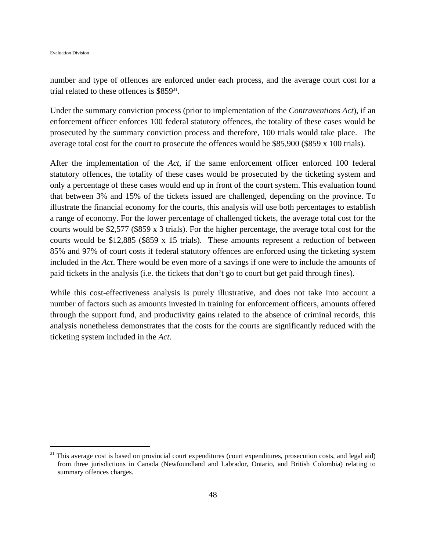Evaluation Division

 $\overline{a}$ 

number and type of offences are enforced under each process, and the average court cost for a trial related to these offences is  $$859^{31}$ .

Under the summary conviction process (prior to implementation of the *Contraventions Act*), if an enforcement officer enforces 100 federal statutory offences, the totality of these cases would be prosecuted by the summary conviction process and therefore, 100 trials would take place. The average total cost for the court to prosecute the offences would be \$85,900 (\$859 x 100 trials).

After the implementation of the *Act*, if the same enforcement officer enforced 100 federal statutory offences, the totality of these cases would be prosecuted by the ticketing system and only a percentage of these cases would end up in front of the court system. This evaluation found that between 3% and 15% of the tickets issued are challenged, depending on the province. To illustrate the financial economy for the courts, this analysis will use both percentages to establish a range of economy. For the lower percentage of challenged tickets, the average total cost for the courts would be \$2,577 (\$859 x 3 trials). For the higher percentage, the average total cost for the courts would be \$12,885 (\$859 x 15 trials). These amounts represent a reduction of between 85% and 97% of court costs if federal statutory offences are enforced using the ticketing system included in the *Act*. There would be even more of a savings if one were to include the amounts of paid tickets in the analysis (i.e. the tickets that don't go to court but get paid through fines).

While this cost-effectiveness analysis is purely illustrative, and does not take into account a number of factors such as amounts invested in training for enforcement officers, amounts offered through the support fund, and productivity gains related to the absence of criminal records, this analysis nonetheless demonstrates that the costs for the courts are significantly reduced with the ticketing system included in the *Act*.

 $31$  This average cost is based on provincial court expenditures (court expenditures, prosecution costs, and legal aid) from three jurisdictions in Canada (Newfoundland and Labrador, Ontario, and British Colombia) relating to summary offences charges.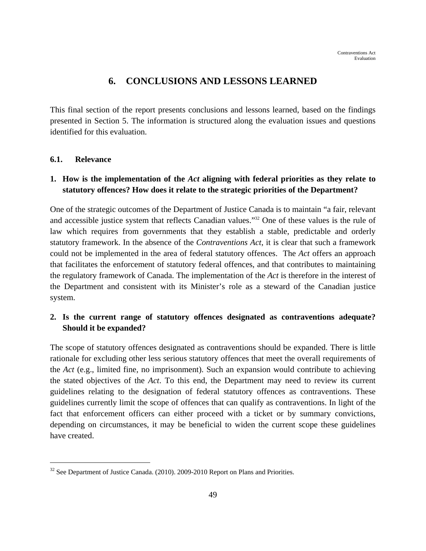# **6. CONCLUSIONS AND LESSONS LEARNED**

This final section of the report presents conclusions and lessons learned, based on the findings presented in Section 5. The information is structured along the evaluation issues and questions identified for this evaluation.

## **6.1. Relevance**

 $\overline{a}$ 

# **1. How is the implementation of the** *Act* **aligning with federal priorities as they relate to statutory offences? How does it relate to the strategic priorities of the Department?**

One of the strategic outcomes of the Department of Justice Canada is to maintain "a fair, relevant and accessible justice system that reflects Canadian values."32 One of these values is the rule of law which requires from governments that they establish a stable, predictable and orderly statutory framework. In the absence of the *Contraventions Act*, it is clear that such a framework could not be implemented in the area of federal statutory offences. The *Act* offers an approach that facilitates the enforcement of statutory federal offences, and that contributes to maintaining the regulatory framework of Canada. The implementation of the *Act* is therefore in the interest of the Department and consistent with its Minister's role as a steward of the Canadian justice system.

# **2. Is the current range of statutory offences designated as contraventions adequate? Should it be expanded?**

The scope of statutory offences designated as contraventions should be expanded. There is little rationale for excluding other less serious statutory offences that meet the overall requirements of the *Act* (e.g., limited fine, no imprisonment). Such an expansion would contribute to achieving the stated objectives of the *Act*. To this end, the Department may need to review its current guidelines relating to the designation of federal statutory offences as contraventions. These guidelines currently limit the scope of offences that can qualify as contraventions. In light of the fact that enforcement officers can either proceed with a ticket or by summary convictions, depending on circumstances, it may be beneficial to widen the current scope these guidelines have created.

<sup>&</sup>lt;sup>32</sup> See Department of Justice Canada. (2010). 2009-2010 Report on Plans and Priorities.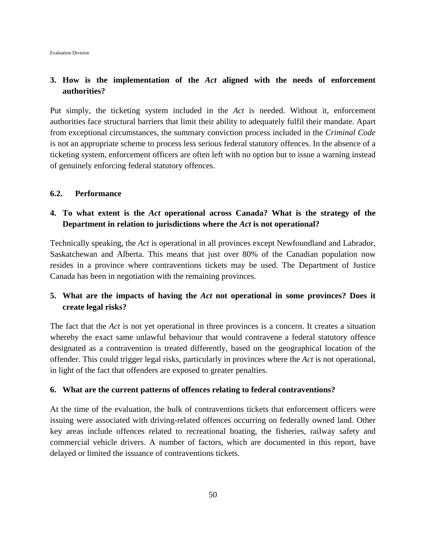# **3. How is the implementation of the** *Act* **aligned with the needs of enforcement authorities?**

Put simply, the ticketing system included in the *Act* is needed. Without it, enforcement authorities face structural barriers that limit their ability to adequately fulfil their mandate. Apart from exceptional circumstances, the summary conviction process included in the *Criminal Code* is not an appropriate scheme to process less serious federal statutory offences. In the absence of a ticketing system, enforcement officers are often left with no option but to issue a warning instead of genuinely enforcing federal statutory offences.

#### **6.2. Performance**

# **4. To what extent is the** *Act* **operational across Canada? What is the strategy of the Department in relation to jurisdictions where the** *Act* **is not operational?**

Technically speaking, the *Act* is operational in all provinces except Newfoundland and Labrador, Saskatchewan and Alberta. This means that just over 80% of the Canadian population now resides in a province where contraventions tickets may be used. The Department of Justice Canada has been in negotiation with the remaining provinces.

# **5. What are the impacts of having the** *Act* **not operational in some provinces? Does it create legal risks?**

The fact that the *Act* is not yet operational in three provinces is a concern. It creates a situation whereby the exact same unlawful behaviour that would contravene a federal statutory offence designated as a contravention is treated differently, based on the geographical location of the offender. This could trigger legal risks, particularly in provinces where the *Act* is not operational, in light of the fact that offenders are exposed to greater penalties.

#### **6. What are the current patterns of offences relating to federal contraventions?**

At the time of the evaluation, the bulk of contraventions tickets that enforcement officers were issuing were associated with driving-related offences occurring on federally owned land. Other key areas include offences related to recreational boating, the fisheries, railway safety and commercial vehicle drivers. A number of factors, which are documented in this report, have delayed or limited the issuance of contraventions tickets.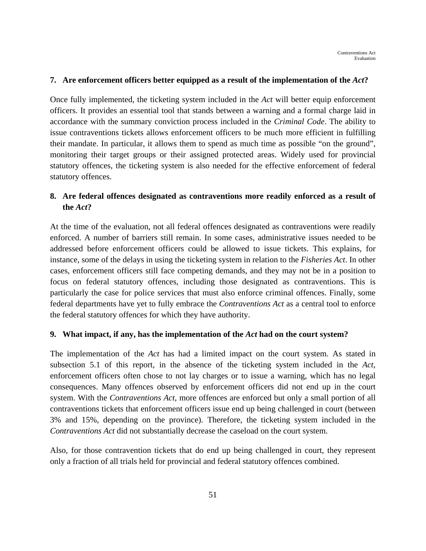## **7. Are enforcement officers better equipped as a result of the implementation of the** *Act***?**

Once fully implemented, the ticketing system included in the *Act* will better equip enforcement officers. It provides an essential tool that stands between a warning and a formal charge laid in accordance with the summary conviction process included in the *Criminal Code*. The ability to issue contraventions tickets allows enforcement officers to be much more efficient in fulfilling their mandate. In particular, it allows them to spend as much time as possible "on the ground", monitoring their target groups or their assigned protected areas. Widely used for provincial statutory offences, the ticketing system is also needed for the effective enforcement of federal statutory offences.

# **8. Are federal offences designated as contraventions more readily enforced as a result of the** *Act***?**

At the time of the evaluation, not all federal offences designated as contraventions were readily enforced. A number of barriers still remain. In some cases, administrative issues needed to be addressed before enforcement officers could be allowed to issue tickets. This explains, for instance, some of the delays in using the ticketing system in relation to the *Fisheries Act*. In other cases, enforcement officers still face competing demands, and they may not be in a position to focus on federal statutory offences, including those designated as contraventions. This is particularly the case for police services that must also enforce criminal offences. Finally, some federal departments have yet to fully embrace the *Contraventions Act* as a central tool to enforce the federal statutory offences for which they have authority.

## **9. What impact, if any, has the implementation of the** *Act* **had on the court system?**

The implementation of the *Act* has had a limited impact on the court system. As stated in subsection 5.1 of this report, in the absence of the ticketing system included in the *Act*, enforcement officers often chose to not lay charges or to issue a warning, which has no legal consequences. Many offences observed by enforcement officers did not end up in the court system. With the *Contraventions Act*, more offences are enforced but only a small portion of all contraventions tickets that enforcement officers issue end up being challenged in court (between 3% and 15%, depending on the province). Therefore, the ticketing system included in the *Contraventions Act* did not substantially decrease the caseload on the court system.

Also, for those contravention tickets that do end up being challenged in court, they represent only a fraction of all trials held for provincial and federal statutory offences combined.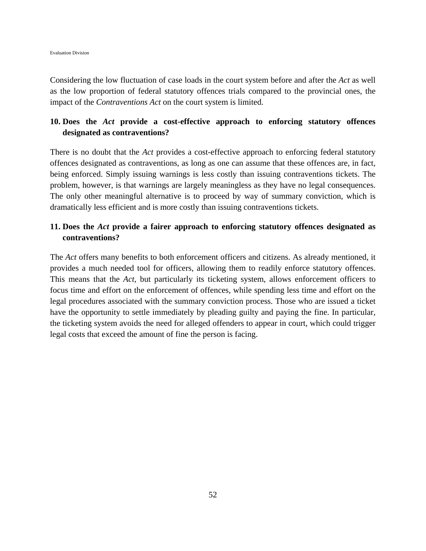Considering the low fluctuation of case loads in the court system before and after the *Act* as well as the low proportion of federal statutory offences trials compared to the provincial ones, the impact of the *Contraventions Act* on the court system is limited.

# **10. Does the** *Act* **provide a cost-effective approach to enforcing statutory offences designated as contraventions?**

There is no doubt that the *Act* provides a cost-effective approach to enforcing federal statutory offences designated as contraventions, as long as one can assume that these offences are, in fact, being enforced. Simply issuing warnings is less costly than issuing contraventions tickets. The problem, however, is that warnings are largely meaningless as they have no legal consequences. The only other meaningful alternative is to proceed by way of summary conviction, which is dramatically less efficient and is more costly than issuing contraventions tickets.

# **11. Does the** *Act* **provide a fairer approach to enforcing statutory offences designated as contraventions?**

The *Act* offers many benefits to both enforcement officers and citizens. As already mentioned, it provides a much needed tool for officers, allowing them to readily enforce statutory offences. This means that the *Act*, but particularly its ticketing system, allows enforcement officers to focus time and effort on the enforcement of offences, while spending less time and effort on the legal procedures associated with the summary conviction process. Those who are issued a ticket have the opportunity to settle immediately by pleading guilty and paying the fine. In particular, the ticketing system avoids the need for alleged offenders to appear in court, which could trigger legal costs that exceed the amount of fine the person is facing.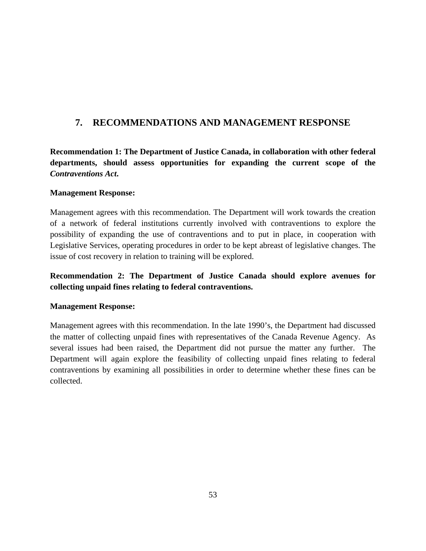# **7. RECOMMENDATIONS AND MANAGEMENT RESPONSE**

**Recommendation 1: The Department of Justice Canada, in collaboration with other federal departments, should assess opportunities for expanding the current scope of the**  *Contraventions Act***.** 

# **Management Response:**

Management agrees with this recommendation. The Department will work towards the creation of a network of federal institutions currently involved with contraventions to explore the possibility of expanding the use of contraventions and to put in place, in cooperation with Legislative Services, operating procedures in order to be kept abreast of legislative changes. The issue of cost recovery in relation to training will be explored.

# **Recommendation 2: The Department of Justice Canada should explore avenues for collecting unpaid fines relating to federal contraventions.**

# **Management Response:**

Management agrees with this recommendation. In the late 1990's, the Department had discussed the matter of collecting unpaid fines with representatives of the Canada Revenue Agency. As several issues had been raised, the Department did not pursue the matter any further. The Department will again explore the feasibility of collecting unpaid fines relating to federal contraventions by examining all possibilities in order to determine whether these fines can be collected.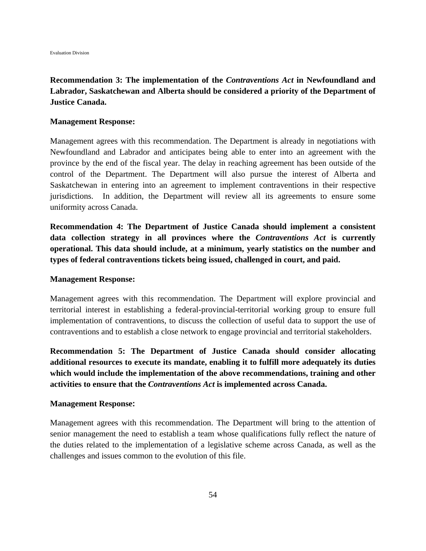# **Recommendation 3: The implementation of the** *Contraventions Act* **in Newfoundland and Labrador, Saskatchewan and Alberta should be considered a priority of the Department of Justice Canada.**

#### **Management Response:**

Management agrees with this recommendation. The Department is already in negotiations with Newfoundland and Labrador and anticipates being able to enter into an agreement with the province by the end of the fiscal year. The delay in reaching agreement has been outside of the control of the Department. The Department will also pursue the interest of Alberta and Saskatchewan in entering into an agreement to implement contraventions in their respective jurisdictions. In addition, the Department will review all its agreements to ensure some uniformity across Canada.

**Recommendation 4: The Department of Justice Canada should implement a consistent data collection strategy in all provinces where the** *Contraventions Act* **is currently operational. This data should include, at a minimum, yearly statistics on the number and types of federal contraventions tickets being issued, challenged in court, and paid.** 

#### **Management Response:**

Management agrees with this recommendation. The Department will explore provincial and territorial interest in establishing a federal-provincial-territorial working group to ensure full implementation of contraventions, to discuss the collection of useful data to support the use of contraventions and to establish a close network to engage provincial and territorial stakeholders.

**Recommendation 5: The Department of Justice Canada should consider allocating additional resources to execute its mandate, enabling it to fulfill more adequately its duties which would include the implementation of the above recommendations, training and other activities to ensure that the** *Contraventions Act* **is implemented across Canada.** 

#### **Management Response:**

Management agrees with this recommendation. The Department will bring to the attention of senior management the need to establish a team whose qualifications fully reflect the nature of the duties related to the implementation of a legislative scheme across Canada, as well as the challenges and issues common to the evolution of this file.